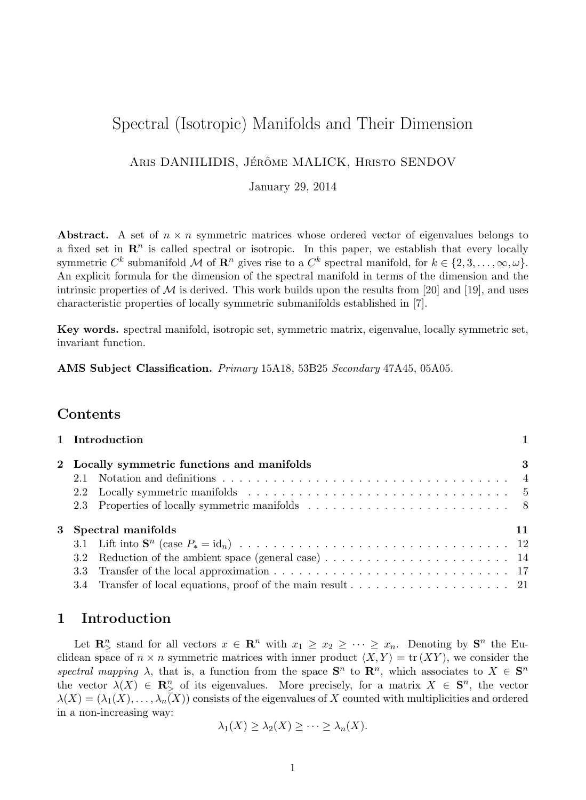# Spectral (Isotropic) Manifolds and Their Dimension

ARIS DANIILIDIS, JÉRÔME MALICK, HRISTO SENDOV

January 29, 2014

Abstract. A set of  $n \times n$  symmetric matrices whose ordered vector of eigenvalues belongs to a fixed set in  $\mathbb{R}^n$  is called spectral or isotropic. In this paper, we establish that every locally symmetric  $C^k$  submanifold M of  $\mathbf{R}^n$  gives rise to a  $C^k$  spectral manifold, for  $k \in \{2, 3, \ldots, \infty, \omega\}$ . An explicit formula for the dimension of the spectral manifold in terms of the dimension and the intrinsic properties of  $\mathcal M$  is derived. This work builds upon the results from [20] and [19], and uses characteristic properties of locally symmetric submanifolds established in [7].

Key words. spectral manifold, isotropic set, symmetric matrix, eigenvalue, locally symmetric set, invariant function.

AMS Subject Classification. Primary 15A18, 53B25 Secondary 47A45, 05A05.

### Contents

|                                             | 1 Introduction       |  |
|---------------------------------------------|----------------------|--|
| 2 Locally symmetric functions and manifolds |                      |  |
| 2.1                                         |                      |  |
|                                             |                      |  |
|                                             |                      |  |
|                                             | 3 Spectral manifolds |  |
|                                             |                      |  |
|                                             |                      |  |
|                                             |                      |  |
|                                             |                      |  |

## 1 Introduction

Let  $\mathbf{R}_{\geq}^n$  stand for all vectors  $x \in \mathbf{R}^n$  with  $x_1 \geq x_2 \geq \cdots \geq x_n$ . Denoting by  $\mathbf{S}^n$  the Euclidean space of  $n \times n$  symmetric matrices with inner product  $\langle X, Y \rangle = \text{tr}(XY)$ , we consider the spectral mapping  $\lambda$ , that is, a function from the space  $S<sup>n</sup>$  to  $\mathbb{R}^n$ , which associates to  $X \in S<sup>n</sup>$ the vector  $\lambda(X) \in \mathbb{R}^n_{\geq}$  of its eigenvalues. More precisely, for a matrix  $X \in \mathbb{S}^n$ , the vector  $\lambda(X) = (\lambda_1(X), \ldots, \lambda_n(X))$  consists of the eigenvalues of X counted with multiplicities and ordered in a non-increasing way:

$$
\lambda_1(X) \geq \lambda_2(X) \geq \cdots \geq \lambda_n(X).
$$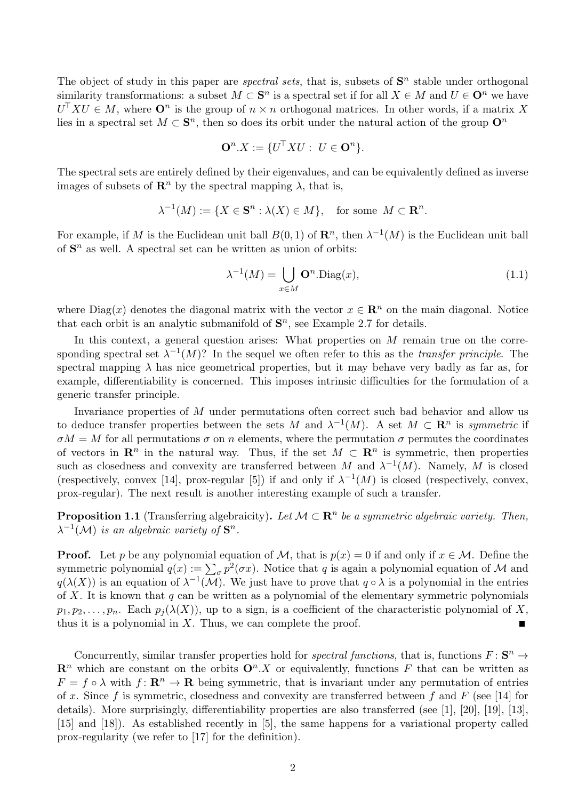The object of study in this paper are *spectral sets*, that is, subsets of  $S<sup>n</sup>$  stable under orthogonal similarity transformations: a subset  $M \subset \mathbf{S}^n$  is a spectral set if for all  $X \in M$  and  $U \in \mathbf{O}^n$  we have  $U^{\top} X U \in M$ , where  $\mathbf{O}^n$  is the group of  $n \times n$  orthogonal matrices. In other words, if a matrix X lies in a spectral set  $M \subset \mathbf{S}^n$ , then so does its orbit under the natural action of the group  $\mathbf{O}^n$ 

$$
\mathbf{O}^n.X := \{U^\top X U : U \in \mathbf{O}^n\}.
$$

The spectral sets are entirely defined by their eigenvalues, and can be equivalently defined as inverse images of subsets of  $\mathbb{R}^n$  by the spectral mapping  $\lambda$ , that is,

$$
\lambda^{-1}(M) := \{ X \in \mathbf{S}^n : \lambda(X) \in M \}, \quad \text{for some } M \subset \mathbf{R}^n.
$$

For example, if M is the Euclidean unit ball  $B(0,1)$  of  $\mathbb{R}^n$ , then  $\lambda^{-1}(M)$  is the Euclidean unit ball of  $S<sup>n</sup>$  as well. A spectral set can be written as union of orbits:

$$
\lambda^{-1}(M) = \bigcup_{x \in M} \mathbf{O}^n \cdot \text{Diag}(x),\tag{1.1}
$$

where Diag(x) denotes the diagonal matrix with the vector  $x \in \mathbb{R}^n$  on the main diagonal. Notice that each orbit is an analytic submanifold of  $S<sup>n</sup>$ , see Example 2.7 for details.

In this context, a general question arises: What properties on  $M$  remain true on the corresponding spectral set  $\lambda^{-1}(M)$ ? In the sequel we often refer to this as the *transfer principle*. The spectral mapping  $\lambda$  has nice geometrical properties, but it may behave very badly as far as, for example, differentiability is concerned. This imposes intrinsic difficulties for the formulation of a generic transfer principle.

Invariance properties of M under permutations often correct such bad behavior and allow us to deduce transfer properties between the sets M and  $\lambda^{-1}(M)$ . A set  $M \subset \mathbb{R}^n$  is symmetric if  $\sigma M = M$  for all permutations  $\sigma$  on n elements, where the permutation  $\sigma$  permutes the coordinates of vectors in  $\mathbb{R}^n$  in the natural way. Thus, if the set  $M \subset \mathbb{R}^n$  is symmetric, then properties such as closedness and convexity are transferred between M and  $\lambda^{-1}(M)$ . Namely, M is closed (respectively, convex [14], prox-regular [5]) if and only if  $\lambda^{-1}(M)$  is closed (respectively, convex, prox-regular). The next result is another interesting example of such a transfer.

**Proposition 1.1** (Transferring algebraicity). Let  $M \subset \mathbb{R}^n$  be a symmetric algebraic variety. Then,  $\lambda^{-1}(\mathcal{M})$  is an algebraic variety of  $\mathbf{S}^n$ .

**Proof.** Let p be any polynomial equation of M, that is  $p(x) = 0$  if and only if  $x \in M$ . Define the symmetric polynomial  $q(x) := \sum_{\sigma} p^2(\sigma x)$ . Notice that q is again a polynomial equation of M and  $q(\lambda(X))$  is an equation of  $\lambda^{-1}(\mathcal{M})$ . We just have to prove that  $q \circ \lambda$  is a polynomial in the entries of  $X$ . It is known that  $q$  can be written as a polynomial of the elementary symmetric polynomials  $p_1, p_2, \ldots, p_n$ . Each  $p_i(\lambda(X))$ , up to a sign, is a coefficient of the characteristic polynomial of X, thus it is a polynomial in  $X$ . Thus, we can complete the proof.

Concurrently, similar transfer properties hold for *spectral functions*, that is, functions  $F: \mathbf{S}^n \to$  $\mathbb{R}^n$  which are constant on the orbits  $\mathbb{O}^n$ . X or equivalently, functions F that can be written as  $F = f \circ \lambda$  with  $f: \mathbf{R}^n \to \mathbf{R}$  being symmetric, that is invariant under any permutation of entries of x. Since f is symmetric, closedness and convexity are transferred between f and F (see [14] for details). More surprisingly, differentiability properties are also transferred (see [1], [20], [19], [13], [15] and [18]). As established recently in [5], the same happens for a variational property called prox-regularity (we refer to [17] for the definition).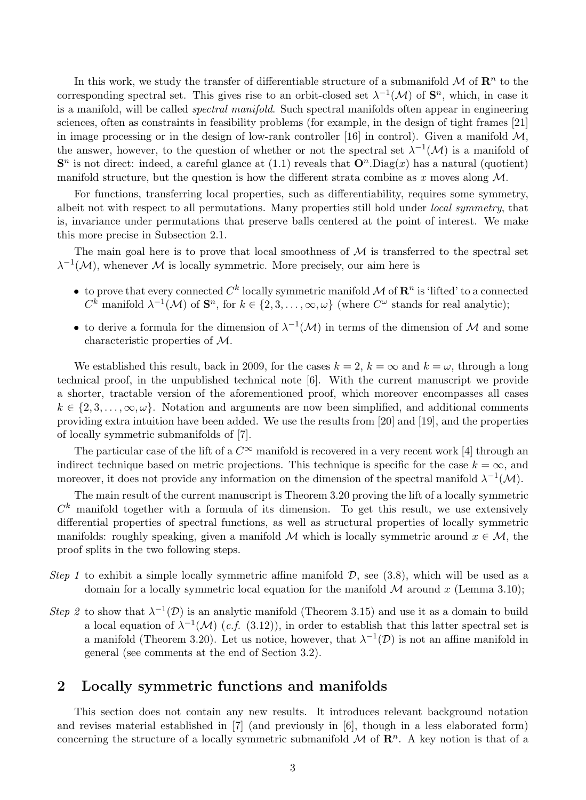In this work, we study the transfer of differentiable structure of a submanifold  $\mathcal M$  of  $\mathbb R^n$  to the corresponding spectral set. This gives rise to an orbit-closed set  $\lambda^{-1}(\mathcal{M})$  of  $\mathbf{S}^n$ , which, in case it is a manifold, will be called *spectral manifold*. Such spectral manifolds often appear in engineering sciences, often as constraints in feasibility problems (for example, in the design of tight frames [21] in image processing or in the design of low-rank controller [16] in control). Given a manifold  $\mathcal{M}$ , the answer, however, to the question of whether or not the spectral set  $\lambda^{-1}(\mathcal{M})$  is a manifold of  $\mathbf{S}^n$  is not direct: indeed, a careful glance at (1.1) reveals that  $\mathbf{O}^n$ . Diag(x) has a natural (quotient) manifold structure, but the question is how the different strata combine as x moves along  $\mathcal{M}$ .

For functions, transferring local properties, such as differentiability, requires some symmetry, albeit not with respect to all permutations. Many properties still hold under local symmetry, that is, invariance under permutations that preserve balls centered at the point of interest. We make this more precise in Subsection 2.1.

The main goal here is to prove that local smoothness of  $\mathcal M$  is transferred to the spectral set  $\lambda^{-1}(\mathcal{M})$ , whenever M is locally symmetric. More precisely, our aim here is

- to prove that every connected  $C^k$  locally symmetric manifold  $\mathcal M$  of  $\mathbb{R}^n$  is 'lifted' to a connected  $C^k$  manifold  $\lambda^{-1}(\mathcal{M})$  of  $\mathbf{S}^n$ , for  $k \in \{2, 3, \ldots, \infty, \omega\}$  (where  $C^{\omega}$  stands for real analytic);
- to derive a formula for the dimension of  $\lambda^{-1}(\mathcal{M})$  in terms of the dimension of M and some characteristic properties of M.

We established this result, back in 2009, for the cases  $k = 2$ ,  $k = \infty$  and  $k = \omega$ , through a long technical proof, in the unpublished technical note [6]. With the current manuscript we provide a shorter, tractable version of the aforementioned proof, which moreover encompasses all cases  $k \in \{2, 3, \ldots, \infty, \omega\}$ . Notation and arguments are now been simplified, and additional comments providing extra intuition have been added. We use the results from [20] and [19], and the properties of locally symmetric submanifolds of [7].

The particular case of the lift of a  $C^{\infty}$  manifold is recovered in a very recent work [4] through an indirect technique based on metric projections. This technique is specific for the case  $k = \infty$ , and moreover, it does not provide any information on the dimension of the spectral manifold  $\lambda^{-1}(\mathcal{M})$ .

The main result of the current manuscript is Theorem 3.20 proving the lift of a locally symmetric  $C<sup>k</sup>$  manifold together with a formula of its dimension. To get this result, we use extensively differential properties of spectral functions, as well as structural properties of locally symmetric manifolds: roughly speaking, given a manifold M which is locally symmetric around  $x \in M$ , the proof splits in the two following steps.

- Step 1 to exhibit a simple locally symmetric affine manifold  $D$ , see (3.8), which will be used as a domain for a locally symmetric local equation for the manifold  $M$  around x (Lemma 3.10);
- Step 2 to show that  $\lambda^{-1}(\mathcal{D})$  is an analytic manifold (Theorem 3.15) and use it as a domain to build a local equation of  $\lambda^{-1}(\mathcal{M})$  (c.f. (3.12)), in order to establish that this latter spectral set is a manifold (Theorem 3.20). Let us notice, however, that  $\lambda^{-1}(\mathcal{D})$  is not an affine manifold in general (see comments at the end of Section 3.2).

### 2 Locally symmetric functions and manifolds

This section does not contain any new results. It introduces relevant background notation and revises material established in [7] (and previously in [6], though in a less elaborated form) concerning the structure of a locally symmetric submanifold  $\mathcal M$  of  $\mathbb R^n$ . A key notion is that of a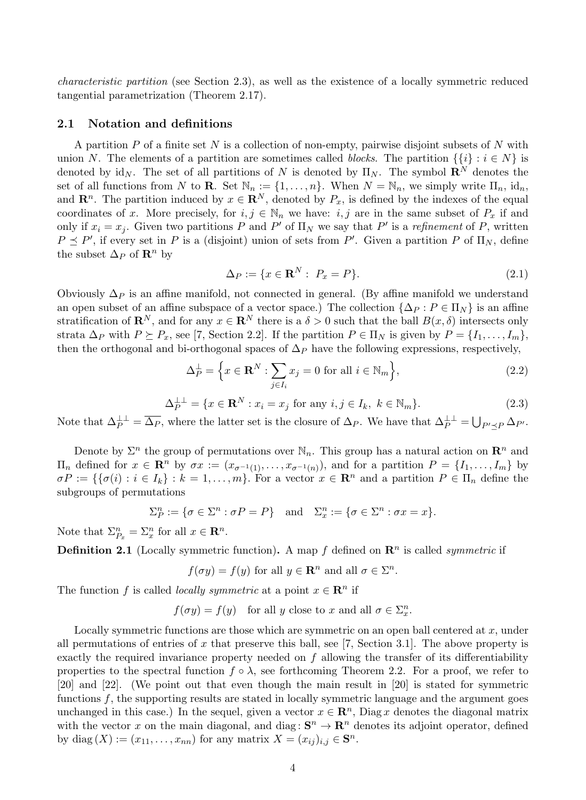characteristic partition (see Section 2.3), as well as the existence of a locally symmetric reduced tangential parametrization (Theorem 2.17).

### 2.1 Notation and definitions

A partition  $P$  of a finite set  $N$  is a collection of non-empty, pairwise disjoint subsets of  $N$  with union N. The elements of a partition are sometimes called *blocks*. The partition  $\{\{i\} : i \in N\}$  is denoted by id<sub>N</sub>. The set of all partitions of N is denoted by  $\Pi_N$ . The symbol  $\mathbb{R}^N$  denotes the set of all functions from N to **R**. Set  $\mathbb{N}_n := \{1, \ldots, n\}$ . When  $N = \mathbb{N}_n$ , we simply write  $\Pi_n$ , id<sub>n</sub>, and  $\mathbf{R}^n$ . The partition induced by  $x \in \mathbf{R}^N$ , denoted by  $P_x$ , is defined by the indexes of the equal coordinates of x. More precisely, for  $i, j \in \mathbb{N}_n$  we have:  $i, j$  are in the same subset of  $P_x$  if and only if  $x_i = x_j$ . Given two partitions P and P' of  $\Pi_N$  we say that P' is a refinement of P, written  $P \preceq P'$ , if every set in P is a (disjoint) union of sets from P'. Given a partition P of  $\Pi_N$ , define the subset  $\Delta_P$  of  $\mathbb{R}^n$  by

$$
\Delta_P := \{ x \in \mathbf{R}^N : \ P_x = P \}. \tag{2.1}
$$

Obviously  $\Delta_P$  is an affine manifold, not connected in general. (By affine manifold we understand an open subset of an affine subspace of a vector space.) The collection  $\{\Delta_p : P \in \Pi_N\}$  is an affine stratification of  $\mathbf{R}^N$ , and for any  $x \in \mathbf{R}^N$  there is a  $\delta > 0$  such that the ball  $B(x, \delta)$  intersects only strata  $\Delta_P$  with  $P \succeq P_x$ , see [7, Section 2.2]. If the partition  $P \in \Pi_N$  is given by  $P = \{I_1, \ldots, I_m\}$ , then the orthogonal and bi-orthogonal spaces of  $\Delta_P$  have the following expressions, respectively,

$$
\Delta_P^{\perp} = \left\{ x \in \mathbf{R}^N : \sum_{j \in I_i} x_j = 0 \text{ for all } i \in \mathbb{N}_m \right\},\tag{2.2}
$$

$$
\Delta_P^{\perp \perp} = \{ x \in \mathbf{R}^N : x_i = x_j \text{ for any } i, j \in I_k, k \in \mathbb{N}_m \}. \tag{2.3}
$$

Note that  $\Delta_P^{\perp \perp} = \overline{\Delta_P}$ , where the latter set is the closure of  $\Delta_P$ . We have that  $\Delta_P^{\perp \perp} = \bigcup_{P' \preceq P} \Delta_{P'}$ .

Denote by  $\Sigma^n$  the group of permutations over  $\mathbb{N}_n$ . This group has a natural action on  $\mathbb{R}^n$  and  $\Pi_n$  defined for  $x \in \mathbb{R}^n$  by  $\sigma x := (x_{\sigma^{-1}(1)}, \ldots, x_{\sigma^{-1}(n)})$ , and for a partition  $P = \{I_1, \ldots, I_m\}$  by  $\sigma P := \{\{\sigma(i) : i \in I_k\} : k = 1, \ldots, m\}$ . For a vector  $x \in \mathbb{R}^n$  and a partition  $P \in \Pi_n$  define the subgroups of permutations

$$
\Sigma_P^n := \{ \sigma \in \Sigma^n : \sigma P = P \} \text{ and } \Sigma_x^n := \{ \sigma \in \Sigma^n : \sigma x = x \}.
$$

Note that  $\Sigma_{P_x}^n = \Sigma_x^n$  for all  $x \in \mathbb{R}^n$ .

**Definition 2.1** (Locally symmetric function). A map f defined on  $\mathbb{R}^n$  is called *symmetric* if

$$
f(\sigma y) = f(y)
$$
 for all  $y \in \mathbb{R}^n$  and all  $\sigma \in \Sigma^n$ .

The function f is called *locally symmetric* at a point  $x \in \mathbb{R}^n$  if

 $f(\sigma y) = f(y)$  for all y close to x and all  $\sigma \in \Sigma_x^n$ .

Locally symmetric functions are those which are symmetric on an open ball centered at  $x$ , under all permutations of entries of x that preserve this ball, see [7, Section 3.1]. The above property is exactly the required invariance property needed on  $f$  allowing the transfer of its differentiability properties to the spectral function  $f \circ \lambda$ , see forthcoming Theorem 2.2. For a proof, we refer to [20] and [22]. (We point out that even though the main result in [20] is stated for symmetric functions  $f$ , the supporting results are stated in locally symmetric language and the argument goes unchanged in this case.) In the sequel, given a vector  $x \in \mathbb{R}^n$ , Diag x denotes the diagonal matrix with the vector x on the main diagonal, and diag:  $S^n \to \mathbb{R}^n$  denotes its adjoint operator, defined by diag  $(X) := (x_{11}, \ldots, x_{nn})$  for any matrix  $X = (x_{ij})_{i,j} \in \mathbf{S}^n$ .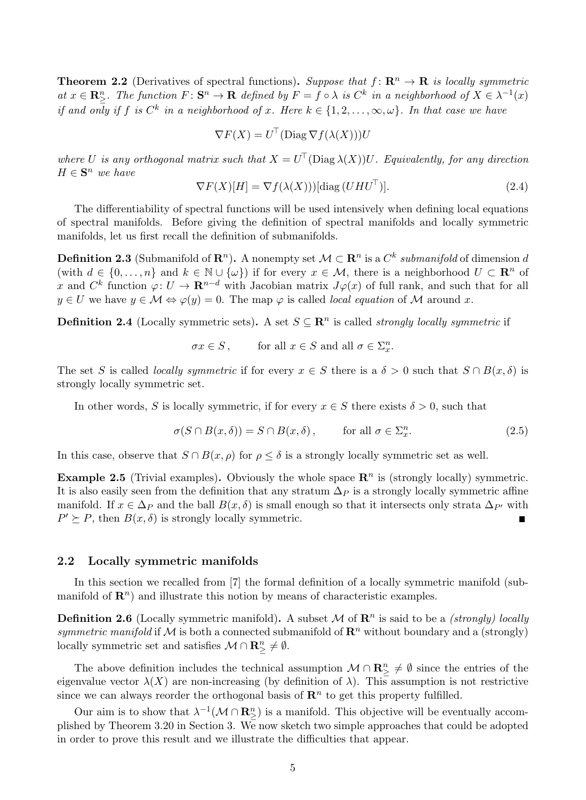**Theorem 2.2** (Derivatives of spectral functions). Suppose that  $f: \mathbb{R}^n \to \mathbb{R}$  is locally symmetric at  $x \in \mathbb{R}_{\geq}^n$ . The function  $F: \mathbb{S}^n \to \mathbb{R}$  defined by  $F = f \circ \lambda$  is  $C^k$  in a neighborhood of  $X \in \lambda^{-1}(x)$ if and only if f is  $C^k$  in a neighborhood of x. Here  $k \in \{1, 2, \ldots, \infty, \omega\}$ . In that case we have

$$
\nabla F(X) = U^{\top}(\text{Diag}\,\nabla f(\lambda(X)))U
$$

where U is any orthogonal matrix such that  $X = U^{\top}(\text{Diag }\lambda(X))U$ . Equivalently, for any direction  $H \in \mathbf{S}^n$  we have

$$
\nabla F(X)[H] = \nabla f(\lambda(X)))[\text{diag}(UHU^{\top})].\tag{2.4}
$$

The differentiability of spectral functions will be used intensively when defining local equations of spectral manifolds. Before giving the definition of spectral manifolds and locally symmetric manifolds, let us first recall the definition of submanifolds.

**Definition 2.3** (Submanifold of  $\mathbb{R}^n$ ). A nonempty set  $\mathcal{M} \subset \mathbb{R}^n$  is a  $C^k$  submanifold of dimension d (with  $d \in \{0, \ldots, n\}$  and  $k \in \mathbb{N} \cup \{\omega\}$ ) if for every  $x \in \mathcal{M}$ , there is a neighborhood  $U \subset \mathbb{R}^n$  of x and  $C^k$  function  $\varphi: U \to \mathbf{R}^{n-d}$  with Jacobian matrix  $J\varphi(x)$  of full rank, and such that for all  $y \in U$  we have  $y \in \mathcal{M} \Leftrightarrow \varphi(y) = 0$ . The map  $\varphi$  is called *local equation* of M around x.

**Definition 2.4** (Locally symmetric sets). A set  $S \subseteq \mathbb{R}^n$  is called *strongly locally symmetric* if

$$
\sigma x \in S\,,\qquad \text{ for all } x \in S \text{ and all } \sigma \in \Sigma_x^n.
$$

The set S is called *locally symmetric* if for every  $x \in S$  there is a  $\delta > 0$  such that  $S \cap B(x, \delta)$  is strongly locally symmetric set.

In other words, S is locally symmetric, if for every  $x \in S$  there exists  $\delta > 0$ , such that

$$
\sigma(S \cap B(x,\delta)) = S \cap B(x,\delta), \quad \text{for all } \sigma \in \Sigma_x^n. \tag{2.5}
$$

In this case, observe that  $S \cap B(x, \rho)$  for  $\rho \leq \delta$  is a strongly locally symmetric set as well.

**Example 2.5** (Trivial examples). Obviously the whole space  $\mathbb{R}^n$  is (strongly locally) symmetric. It is also easily seen from the definition that any stratum  $\Delta_P$  is a strongly locally symmetric affine manifold. If  $x \in \Delta_P$  and the ball  $B(x, \delta)$  is small enough so that it intersects only strata  $\Delta_{P'}$  with  $P' \succeq P$ , then  $B(x, \delta)$  is strongly locally symmetric.

### 2.2 Locally symmetric manifolds

In this section we recalled from [7] the formal definition of a locally symmetric manifold (submanifold of  $\mathbb{R}^n$ ) and illustrate this notion by means of characteristic examples.

**Definition 2.6** (Locally symmetric manifold). A subset M of  $\mathbb{R}^n$  is said to be a *(strongly) locally* symmetric manifold if M is both a connected submanifold of  $\mathbb{R}^n$  without boundary and a (strongly) locally symmetric set and satisfies  $\mathcal{M} \cap \mathbb{R}^n_{\geq} \neq \emptyset$ .

The above definition includes the technical assumption  $\mathcal{M} \cap \mathbb{R}^n_\geq \neq \emptyset$  since the entries of the eigenvalue vector  $\lambda(X)$  are non-increasing (by definition of  $\lambda$ ). This assumption is not restrictive since we can always reorder the orthogonal basis of  $\mathbb{R}^n$  to get this property fulfilled.

Our aim is to show that  $\lambda^{-1}(\mathcal{M} \cap \mathbf{R}_{\geq}^n)$  is a manifold. This objective will be eventually accomplished by Theorem 3.20 in Section 3. We now sketch two simple approaches that could be adopted in order to prove this result and we illustrate the difficulties that appear.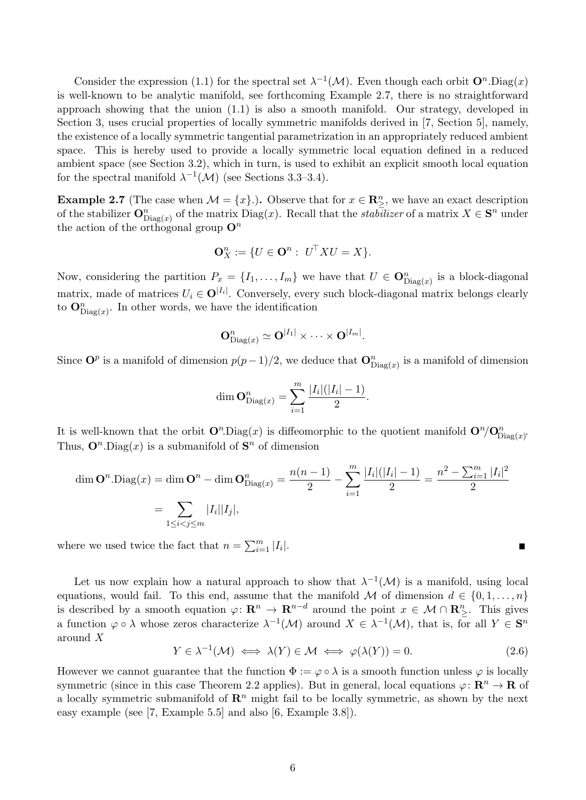Consider the expression (1.1) for the spectral set  $\lambda^{-1}(\mathcal{M})$ . Even though each orbit  $\mathbf{O}^n \cdot \text{Diag}(x)$ is well-known to be analytic manifold, see forthcoming Example 2.7, there is no straightforward approach showing that the union (1.1) is also a smooth manifold. Our strategy, developed in Section 3, uses crucial properties of locally symmetric manifolds derived in [7, Section 5], namely, the existence of a locally symmetric tangential parametrization in an appropriately reduced ambient space. This is hereby used to provide a locally symmetric local equation defined in a reduced ambient space (see Section 3.2), which in turn, is used to exhibit an explicit smooth local equation for the spectral manifold  $\lambda^{-1}(\mathcal{M})$  (see Sections 3.3–3.4).

**Example 2.7** (The case when  $\mathcal{M} = \{x\}$ .). Observe that for  $x \in \mathbb{R}^n_{\geq}$ , we have an exact description of the stabilizer  $\mathbf{O}_{\text{Diag}(x)}^n$  of the matrix  $\text{Diag}(x)$ . Recall that the *stabilizer* of a matrix  $X \in \mathbf{S}^n$  under the action of the orthogonal group  $\mathbf{O}^n$ 

$$
\mathbf{O}_X^n := \{ U \in \mathbf{O}^n : U^\top X U = X \}.
$$

Now, considering the partition  $P_x = \{I_1, \ldots, I_m\}$  we have that  $U \in \mathbf{O}_{\mathrm{Diag}(x)}^n$  is a block-diagonal matrix, made of matrices  $U_i \in \mathbf{O}^{|I_i|}$ . Conversely, every such block-diagonal matrix belongs clearly to  $\mathbf{O}_{\mathrm{Diag}(x)}^n$ . In other words, we have the identification

$$
\mathbf{O}^n_{\mathrm{Diag}(x)} \simeq \mathbf{O}^{|I_1|} \times \cdots \times \mathbf{O}^{|I_m|}.
$$

Since  $\mathbf{O}^p$  is a manifold of dimension  $p(p-1)/2$ , we deduce that  $\mathbf{O}_{\text{Diag}(x)}^n$  is a manifold of dimension

dim 
$$
\mathbf{O}_{\mathrm{Diag}(x)}^n = \sum_{i=1}^m \frac{|I_i|(|I_i|-1)}{2}
$$
.

It is well-known that the orbit  $\mathbf{O}^n$ . Diag(x) is diffeomorphic to the quotient manifold  $\mathbf{O}^n/\mathbf{O}^n_{\text{Diag}(x)}$ . Thus,  $\mathbf{O}^n$ . Diag(x) is a submanifold of  $\mathbf{S}^n$  of dimension

$$
\dim \mathbf{O}^n \cdot \text{Diag}(x) = \dim \mathbf{O}^n - \dim \mathbf{O}^n_{\text{Diag}(x)} = \frac{n(n-1)}{2} - \sum_{i=1}^m \frac{|I_i|(|I_i| - 1)}{2} = \frac{n^2 - \sum_{i=1}^m |I_i|^2}{2}
$$

$$
= \sum_{1 \le i < j \le m} |I_i||I_j|,
$$

where we used twice the fact that  $n = \sum_{i=1}^{m} |I_i|$ .

Let us now explain how a natural approach to show that  $\lambda^{-1}(\mathcal{M})$  is a manifold, using local equations, would fail. To this end, assume that the manifold M of dimension  $d \in \{0, 1, ..., n\}$ is described by a smooth equation  $\varphi \colon \mathbf{R}^n \to \mathbf{R}^{n-d}$  around the point  $x \in \mathcal{M} \cap \mathbf{R}_{\geq}^n$ . This gives a function  $\varphi \circ \lambda$  whose zeros characterize  $\lambda^{-1}(\mathcal{M})$  around  $X \in \lambda^{-1}(\mathcal{M})$ , that is, for all  $Y \in \mathbf{S}^n$ around X

$$
Y \in \lambda^{-1}(\mathcal{M}) \iff \lambda(Y) \in \mathcal{M} \iff \varphi(\lambda(Y)) = 0. \tag{2.6}
$$

 $\blacksquare$ 

However we cannot guarantee that the function  $\Phi := \varphi \circ \lambda$  is a smooth function unless  $\varphi$  is locally symmetric (since in this case Theorem 2.2 applies). But in general, local equations  $\varphi: \mathbb{R}^n \to \mathbb{R}$  of a locally symmetric submanifold of  $\mathbb{R}^n$  might fail to be locally symmetric, as shown by the next easy example (see [7, Example 5.5] and also [6, Example 3.8]).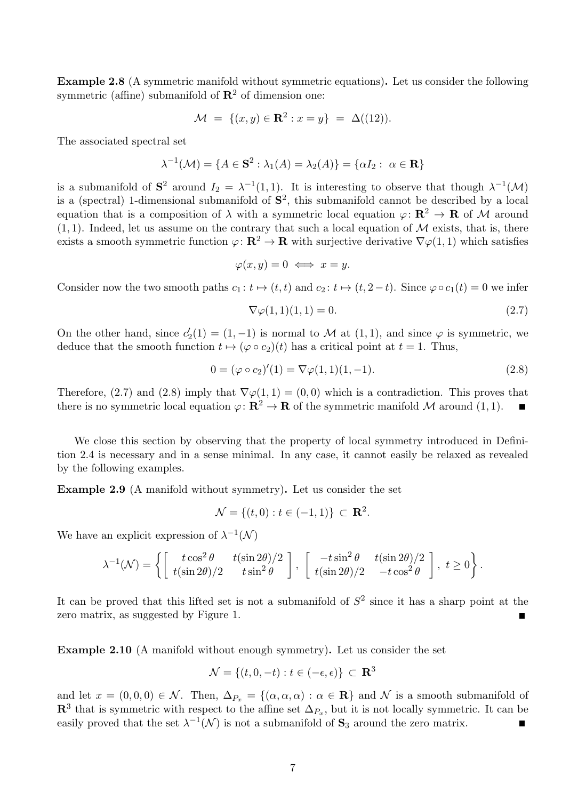Example 2.8 (A symmetric manifold without symmetric equations). Let us consider the following symmetric (affine) submanifold of  $\mathbb{R}^2$  of dimension one:

$$
\mathcal{M} = \{ (x, y) \in \mathbf{R}^2 : x = y \} = \Delta((12)).
$$

The associated spectral set

$$
\lambda^{-1}(\mathcal{M}) = \{A \in \mathbf{S}^2 : \lambda_1(A) = \lambda_2(A)\} = \{\alpha I_2 : \ \alpha \in \mathbf{R}\}\
$$

is a submanifold of  $S^2$  around  $I_2 = \lambda^{-1}(1,1)$ . It is interesting to observe that though  $\lambda^{-1}(\mathcal{M})$ is a (spectral) 1-dimensional submanifold of  $S^2$ , this submanifold cannot be described by a local equation that is a composition of  $\lambda$  with a symmetric local equation  $\varphi: \mathbb{R}^2 \to \mathbb{R}$  of M around  $(1, 1)$ . Indeed, let us assume on the contrary that such a local equation of M exists, that is, there exists a smooth symmetric function  $\varphi: \mathbf{R}^2 \to \mathbf{R}$  with surjective derivative  $\nabla \varphi(1,1)$  which satisfies

$$
\varphi(x,y) = 0 \iff x = y.
$$

Consider now the two smooth paths  $c_1 : t \mapsto (t, t)$  and  $c_2 : t \mapsto (t, 2-t)$ . Since  $\varphi \circ c_1(t) = 0$  we infer

$$
\nabla \varphi(1,1)(1,1) = 0.\tag{2.7}
$$

On the other hand, since  $c'_2(1) = (1, -1)$  is normal to M at  $(1, 1)$ , and since  $\varphi$  is symmetric, we deduce that the smooth function  $t \mapsto (\varphi \circ c_2)(t)$  has a critical point at  $t = 1$ . Thus,

$$
0 = (\varphi \circ c_2)'(1) = \nabla \varphi(1,1)(1,-1). \tag{2.8}
$$

Therefore, (2.7) and (2.8) imply that  $\nabla \varphi(1,1) = (0,0)$  which is a contradiction. This proves that there is no symmetric local equation  $\varphi: \mathbb{R}^2 \to \mathbb{R}$  of the symmetric manifold M around (1, 1).

We close this section by observing that the property of local symmetry introduced in Definition 2.4 is necessary and in a sense minimal. In any case, it cannot easily be relaxed as revealed by the following examples.

Example 2.9 (A manifold without symmetry). Let us consider the set

$$
\mathcal{N} = \{(t, 0) : t \in (-1, 1)\} \subset \mathbf{R}^2.
$$

We have an explicit expression of  $\lambda^{-1}(\mathcal{N})$ 

$$
\lambda^{-1}(\mathcal{N}) = \left\{ \begin{bmatrix} t \cos^2 \theta & t(\sin 2\theta)/2 \\ t(\sin 2\theta)/2 & t \sin^2 \theta \end{bmatrix}, \begin{bmatrix} -t \sin^2 \theta & t(\sin 2\theta)/2 \\ t(\sin 2\theta)/2 & -t \cos^2 \theta \end{bmatrix}, t \ge 0 \right\}.
$$

It can be proved that this lifted set is not a submanifold of  $S<sup>2</sup>$  since it has a sharp point at the zero matrix, as suggested by Figure 1.

Example 2.10 (A manifold without enough symmetry). Let us consider the set

$$
\mathcal{N} = \{(t, 0, -t) : t \in (-\epsilon, \epsilon)\} \subset \mathbf{R}^3
$$

and let  $x = (0, 0, 0) \in \mathcal{N}$ . Then,  $\Delta_{P_x} = \{(\alpha, \alpha, \alpha) : \alpha \in \mathbb{R}\}\$ and  $\mathcal{N}$  is a smooth submanifold of  $\mathbb{R}^3$  that is symmetric with respect to the affine set  $\Delta_{P_x}$ , but it is not locally symmetric. It can be easily proved that the set  $\lambda^{-1}(\mathcal{N})$  is not a submanifold of  $S_3$  around the zero matrix.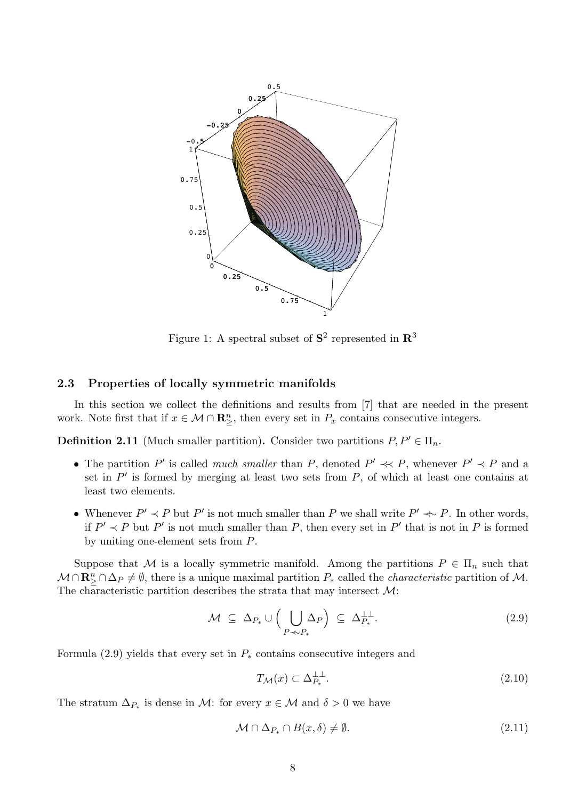

Figure 1: A spectral subset of  $S^2$  represented in  $\mathbb{R}^3$ 

#### 2.3 Properties of locally symmetric manifolds

In this section we collect the definitions and results from [7] that are needed in the present work. Note first that if  $x \in \mathcal{M} \cap \mathbb{R}^n_{\geq}$ , then every set in  $P_x$  contains consecutive integers.

**Definition 2.11** (Much smaller partition). Consider two partitions  $P, P' \in \Pi_n$ .

- The partition P' is called much smaller than P, denoted  $P' \prec P$ , whenever  $P' \prec P$  and a set in  $P'$  is formed by merging at least two sets from  $P$ , of which at least one contains at least two elements.
- Whenever  $P' \prec P$  but  $P'$  is not much smaller than P we shall write  $P' \prec P$ . In other words, if  $P' \prec P$  but P' is not much smaller than P, then every set in P' that is not in P is formed by uniting one-element sets from P.

Suppose that M is a locally symmetric manifold. Among the partitions  $P \in \Pi_n$  such that  $M \cap \mathbf{R}_{\geq}^n \cap \Delta_P \neq \emptyset$ , there is a unique maximal partition  $P_*$  called the *characteristic* partition of M. The characteristic partition describes the strata that may intersect  $\mathcal{M}$ :

$$
\mathcal{M} \subseteq \Delta_{P_*} \cup \left( \bigcup_{P \prec P_*} \Delta_P \right) \subseteq \Delta_{P_*}^{\perp \perp}.
$$
\n(2.9)

Formula (2.9) yields that every set in  $P_*$  contains consecutive integers and

$$
T_{\mathcal{M}}(x) \subset \Delta_{P_*}^{\perp \perp}.\tag{2.10}
$$

The stratum  $\Delta_{P_*}$  is dense in M: for every  $x \in \mathcal{M}$  and  $\delta > 0$  we have

$$
\mathcal{M} \cap \Delta_{P_*} \cap B(x,\delta) \neq \emptyset. \tag{2.11}
$$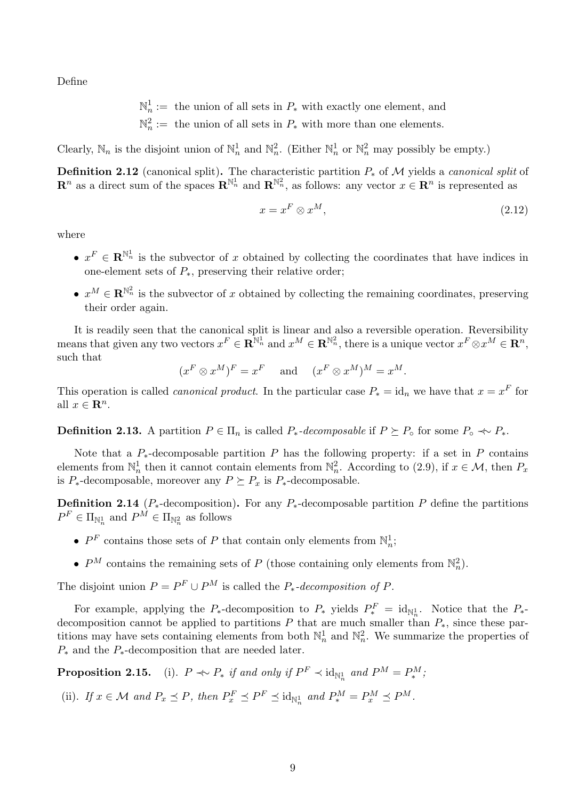Define

$$
\mathbb{N}_n^1 :=
$$
 the union of all sets in  $P_*$  with exactly one element, and

 $\mathbb{N}_n^2 :=$  the union of all sets in  $P_*$  with more than one elements.

Clearly,  $\mathbb{N}_n$  is the disjoint union of  $\mathbb{N}_n^1$  and  $\mathbb{N}_n^2$ . (Either  $\mathbb{N}_n^1$  or  $\mathbb{N}_n^2$  may possibly be empty.)

**Definition 2.12** (canonical split). The characteristic partition  $P_*$  of M yields a *canonical split* of  $\mathbf{R}^n$  as a direct sum of the spaces  $\mathbf{R}^{\mathbb{N}_n}$  and  $\mathbf{R}^{\mathbb{N}_n}$ , as follows: any vector  $x \in \mathbf{R}^n$  is represented as

$$
x = x^F \otimes x^M,\tag{2.12}
$$

where

- $x^F \in \mathbb{R}^{\mathbb{N}_n^1}$  is the subvector of x obtained by collecting the coordinates that have indices in one-element sets of  $P_*$ , preserving their relative order;
- $x^M \in \mathbb{R}^{\mathbb{N}_n^2}$  is the subvector of x obtained by collecting the remaining coordinates, preserving their order again.

It is readily seen that the canonical split is linear and also a reversible operation. Reversibility means that given any two vectors  $x^F \in \mathbf{R}^{\mathbb{N}_n^1}$  and  $x^M \in \mathbf{R}^{\mathbb{N}_n^2}$ , there is a unique vector  $x^F \otimes x^M \in \mathbf{R}^n$ , such that

 $(x^F \otimes x^M)^F = x^F$  and  $(x^F \otimes x^M)^M = x^M$ .

This operation is called *canonical product*. In the particular case  $P_* = id_n$  we have that  $x = x^F$  for all  $x \in \mathbb{R}^n$ .

**Definition 2.13.** A partition  $P \in \Pi_n$  is called  $P_*$ -decomposable if  $P \succeq P_{\circ}$  for some  $P_{\circ} \nightharpoonup P_*$ .

Note that a  $P_*$ -decomposable partition P has the following property: if a set in P contains elements from  $\mathbb{N}_n^1$  then it cannot contain elements from  $\mathbb{N}_n^2$ . According to (2.9), if  $x \in \mathcal{M}$ , then  $P_x$ is  $P_*$ -decomposable, moreover any  $P \succeq P_x$  is  $P_*$ -decomposable.

**Definition 2.14** ( $P_*$ -decomposition). For any  $P_*$ -decomposable partition P define the partitions  $P^F \in \Pi_{\mathbb{N}_n^1}$  and  $P^M \in \Pi_{\mathbb{N}_n^2}$  as follows

- $P<sup>F</sup>$  contains those sets of P that contain only elements from  $\mathbb{N}_n^1$ ;
- $P^M$  contains the remaining sets of P (those containing only elements from  $\mathbb{N}_n^2$ ).

The disjoint union  $P = P^F \cup P^M$  is called the  $P_*$ -decomposition of P.

For example, applying the  $P_*$ -decomposition to  $P_*$  yields  $P_*^F = id_{\mathbb{N}_n^1}$ . Notice that the  $P_{*}$ decomposition cannot be applied to partitions P that are much smaller than  $P_*$ , since these partitions may have sets containing elements from both  $\mathbb{N}_n^1$  and  $\mathbb{N}_n^2$ . We summarize the properties of  $P_*$  and the  $P_*$ -decomposition that are needed later.

**Proposition 2.15.** (i).  $P \Leftrightarrow P_*$  if and only if  $P^F \prec \text{id}_{\mathbb{N}_n^1}$  and  $P^M = P_*^M$ ;

(ii). If  $x \in \mathcal{M}$  and  $P_x \preceq P$ , then  $P_x^F \preceq P^F \preceq \text{id}_{\mathbb{N}_n^1}$  and  $P_*^M = P_x^M \preceq P^M$ .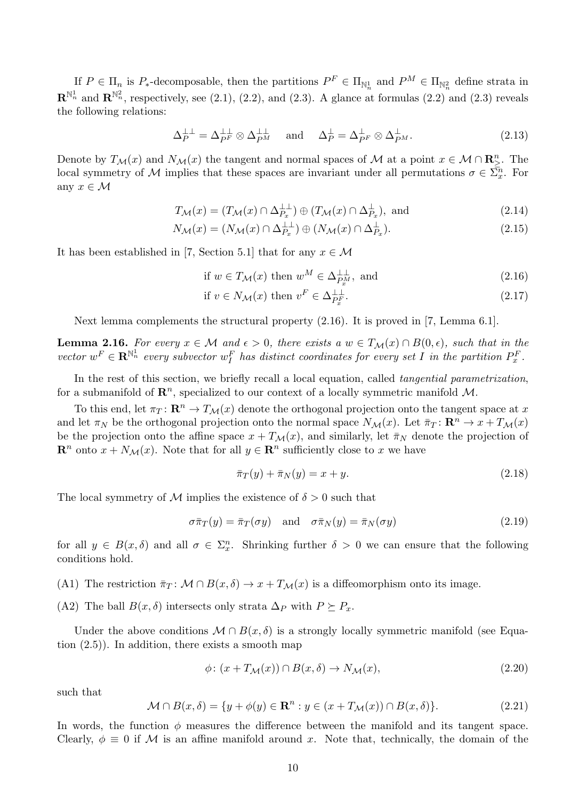If  $P \in \Pi_n$  is  $P_{*}$ -decomposable, then the partitions  $P^F \in \Pi_{\mathbb{N}_n}$  and  $P^M \in \Pi_{\mathbb{N}_n}$  define strata in  $\mathbf{R}^{\mathbb{N}_n^1}$  and  $\mathbf{R}^{\mathbb{N}_n^2}$ , respectively, see (2.1), (2.2), and (2.3). A glance at formulas (2.2) and (2.3) reveals the following relations:

$$
\Delta_P^{\perp \perp} = \Delta_{PF}^{\perp \perp} \otimes \Delta_{PM}^{\perp \perp} \quad \text{and} \quad \Delta_P^{\perp} = \Delta_{PF}^{\perp} \otimes \Delta_{PM}^{\perp}.
$$
 (2.13)

Denote by  $T_{\mathcal{M}}(x)$  and  $N_{\mathcal{M}}(x)$  the tangent and normal spaces of  $\mathcal{M}$  at a point  $x \in \mathcal{M} \cap \mathbb{R}^n_{\geq}$ . The local symmetry of M implies that these spaces are invariant under all permutations  $\sigma \in \Sigma_{x}^{\overline{n}}$ . For any  $x \in \mathcal{M}$ 

$$
T_{\mathcal{M}}(x) = (T_{\mathcal{M}}(x) \cap \Delta_{P_x}^{\perp \perp}) \oplus (T_{\mathcal{M}}(x) \cap \Delta_{P_x}^{\perp}), \text{ and } (2.14)
$$

$$
N_{\mathcal{M}}(x) = (N_{\mathcal{M}}(x) \cap \Delta_{P_x}^{\perp \perp}) \oplus (N_{\mathcal{M}}(x) \cap \Delta_{P_x}^{\perp}).
$$
\n(2.15)

It has been established in [7, Section 5.1] that for any  $x \in \mathcal{M}$ 

if 
$$
w \in T_{\mathcal{M}}(x)
$$
 then  $w^M \in \Delta_{P_x^M}^{\perp\perp}$ , and  $(2.16)$ 

if 
$$
v \in N_{\mathcal{M}}(x)
$$
 then  $v^F \in \Delta_{P_x^F}^{\perp}$ . 
$$
(2.17)
$$

Next lemma complements the structural property (2.16). It is proved in [7, Lemma 6.1].

**Lemma 2.16.** For every  $x \in M$  and  $\epsilon > 0$ , there exists a  $w \in T_M(x) \cap B(0, \epsilon)$ , such that in the vector  $w^F \in \mathbf{R}^{\mathbb{N}_n^1}$  every subvector  $w^F_I$  has distinct coordinates for every set  $I$  in the partition  $P_x^F$ .

In the rest of this section, we briefly recall a local equation, called tangential parametrization, for a submanifold of  $\mathbb{R}^n$ , specialized to our context of a locally symmetric manifold M.

To this end, let  $\pi_T : \mathbf{R}^n \to T_{\mathcal{M}}(x)$  denote the orthogonal projection onto the tangent space at x and let  $\pi_N$  be the orthogonal projection onto the normal space  $N_{\mathcal{M}}(x)$ . Let  $\bar{\pi}_T : \mathbb{R}^n \to x + T_{\mathcal{M}}(x)$ be the projection onto the affine space  $x + T_{\mathcal{M}}(x)$ , and similarly, let  $\bar{\pi}_N$  denote the projection of  $\mathbf{R}^n$  onto  $x + N_{\mathcal{M}}(x)$ . Note that for all  $y \in \mathbf{R}^n$  sufficiently close to x we have

$$
\bar{\pi}_T(y) + \bar{\pi}_N(y) = x + y. \tag{2.18}
$$

The local symmetry of M implies the existence of  $\delta > 0$  such that

$$
\sigma \bar{\pi}_T(y) = \bar{\pi}_T(\sigma y) \quad \text{and} \quad \sigma \bar{\pi}_N(y) = \bar{\pi}_N(\sigma y) \tag{2.19}
$$

for all  $y \in B(x,\delta)$  and all  $\sigma \in \Sigma_x^n$ . Shrinking further  $\delta > 0$  we can ensure that the following conditions hold.

- (A1) The restriction  $\bar{\pi}_T : \mathcal{M} \cap B(x,\delta) \to x + T_{\mathcal{M}}(x)$  is a diffeomorphism onto its image.
- (A2) The ball  $B(x, \delta)$  intersects only strata  $\Delta_P$  with  $P \succeq P_x$ .

Under the above conditions  $\mathcal{M} \cap B(x,\delta)$  is a strongly locally symmetric manifold (see Equation (2.5)). In addition, there exists a smooth map

$$
\phi \colon (x + T_{\mathcal{M}}(x)) \cap B(x, \delta) \to N_{\mathcal{M}}(x), \tag{2.20}
$$

such that

$$
\mathcal{M} \cap B(x,\delta) = \{ y + \phi(y) \in \mathbf{R}^n : y \in (x + T_{\mathcal{M}}(x)) \cap B(x,\delta) \}. \tag{2.21}
$$

In words, the function  $\phi$  measures the difference between the manifold and its tangent space. Clearly,  $\phi \equiv 0$  if M is an affine manifold around x. Note that, technically, the domain of the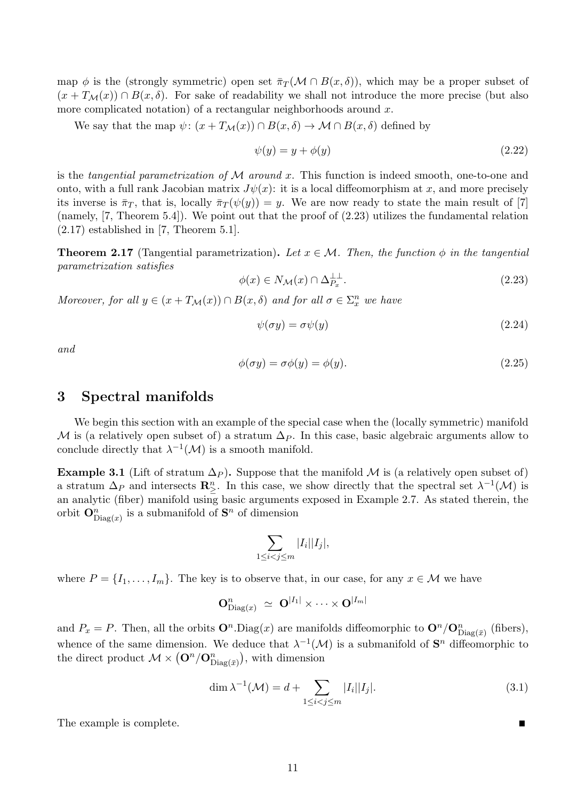map  $\phi$  is the (strongly symmetric) open set  $\bar{\pi}_T(\mathcal{M} \cap B(x,\delta))$ , which may be a proper subset of  $(x + T<sub>M</sub>(x)) \cap B(x, \delta)$ . For sake of readability we shall not introduce the more precise (but also more complicated notation) of a rectangular neighborhoods around  $x$ .

We say that the map  $\psi: (x + T_{\mathcal{M}}(x)) \cap B(x, \delta) \to \mathcal{M} \cap B(x, \delta)$  defined by

$$
\psi(y) = y + \phi(y) \tag{2.22}
$$

is the tangential parametrization of  $\mathcal M$  around x. This function is indeed smooth, one-to-one and onto, with a full rank Jacobian matrix  $J\psi(x)$ : it is a local diffeomorphism at x, and more precisely its inverse is  $\bar{\pi}_T$ , that is, locally  $\bar{\pi}_T(\psi(y)) = y$ . We are now ready to state the main result of [7] (namely, [7, Theorem 5.4]). We point out that the proof of (2.23) utilizes the fundamental relation  $(2.17)$  established in [7, Theorem 5.1].

**Theorem 2.17** (Tangential parametrization). Let  $x \in \mathcal{M}$ . Then, the function  $\phi$  in the tangential parametrization satisfies

$$
\phi(x) \in N_{\mathcal{M}}(x) \cap \Delta_{P_x}^{\perp \perp}.
$$
\n(2.23)

Moreover, for all  $y \in (x + T_M(x)) \cap B(x, \delta)$  and for all  $\sigma \in \Sigma_x^n$  we have

$$
\psi(\sigma y) = \sigma \psi(y) \tag{2.24}
$$

and

$$
\phi(\sigma y) = \sigma \phi(y) = \phi(y). \tag{2.25}
$$

### 3 Spectral manifolds

We begin this section with an example of the special case when the (locally symmetric) manifold M is (a relatively open subset of) a stratum  $\Delta_P$ . In this case, basic algebraic arguments allow to conclude directly that  $\lambda^{-1}(\mathcal{M})$  is a smooth manifold.

**Example 3.1** (Lift of stratum  $\Delta_P$ ). Suppose that the manifold M is (a relatively open subset of) a stratum  $\Delta_P$  and intersects  $\mathbb{R}^n_{\geq}$ . In this case, we show directly that the spectral set  $\lambda^{-1}(\mathcal{M})$  is an analytic (fiber) manifold using basic arguments exposed in Example 2.7. As stated therein, the orbit  $O_{\text{Diag}(x)}^n$  is a submanifold of  $S^n$  of dimension

$$
\sum_{1 \le i < j \le m} |I_i||I_j|,
$$

where  $P = \{I_1, \ldots, I_m\}$ . The key is to observe that, in our case, for any  $x \in \mathcal{M}$  we have

$$
\mathbf{O}^n_{\mathrm{Diag}(x)} ~\simeq~ \mathbf{O}^{|I_1|} \times \cdots \times \mathbf{O}^{|I_m|}
$$

and  $P_x = P$ . Then, all the orbits  $\mathbf{O}^n$ . Diag(x) are manifolds diffeomorphic to  $\mathbf{O}^n/\mathbf{O}^n_{\text{Diag}(\bar{x})}$  (fibers), whence of the same dimension. We deduce that  $\lambda^{-1}(\mathcal{M})$  is a submanifold of  $\mathbf{S}^n$  diffeomorphic to the direct product  $\mathcal{M} \times (\mathbf{O}^n/\mathbf{O}^n_{Diag(\bar{x})})$ , with dimension

$$
\dim \lambda^{-1}(\mathcal{M}) = d + \sum_{1 \le i < j \le m} |I_i||I_j|.\tag{3.1}
$$

The example is complete.

Г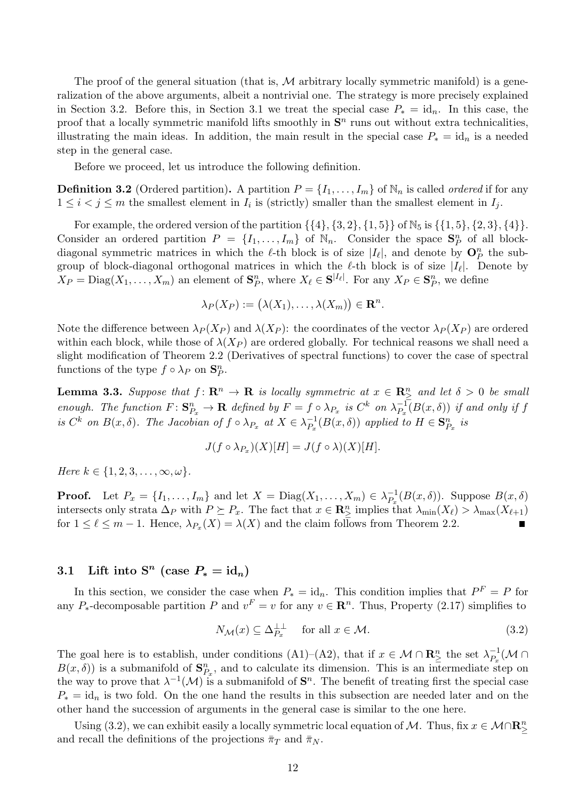The proof of the general situation (that is, M arbitrary locally symmetric manifold) is a generalization of the above arguments, albeit a nontrivial one. The strategy is more precisely explained in Section 3.2. Before this, in Section 3.1 we treat the special case  $P_* = id_n$ . In this case, the proof that a locally symmetric manifold lifts smoothly in  $S<sup>n</sup>$  runs out without extra technicalities, illustrating the main ideas. In addition, the main result in the special case  $P_* = id_n$  is a needed step in the general case.

Before we proceed, let us introduce the following definition.

**Definition 3.2** (Ordered partition). A partition  $P = \{I_1, \ldots, I_m\}$  of  $\mathbb{N}_n$  is called *ordered* if for any  $1 \leq i < j \leq m$  the smallest element in  $I_i$  is (strictly) smaller than the smallest element in  $I_j$ .

For example, the ordered version of the partition  $\{\{4\}, \{3, 2\}, \{1, 5\}\}\$  of  $\mathbb{N}_5$  is  $\{\{1, 5\}, \{2, 3\}, \{4\}\}.$ Consider an ordered partition  $P = \{I_1, \ldots, I_m\}$  of  $\mathbb{N}_n$ . Consider the space  $\mathbf{S}_P^n$  of all blockdiagonal symmetric matrices in which the  $\ell$ -th block is of size  $|I_{\ell}|$ , and denote by  $\mathbf{O}_{P}^{n}$  the subgroup of block-diagonal orthogonal matrices in which the  $\ell$ -th block is of size  $|I_{\ell}|$ . Denote by  $X_P = \text{Diag}(X_1, \ldots, X_m)$  an element of  $\mathbf{S}_P^n$ , where  $X_\ell \in \mathbf{S}^{|I_\ell|}$ . For any  $X_P \in \mathbf{S}_P^n$ , we define

$$
\lambda_P(X_P) := (\lambda(X_1), \ldots, \lambda(X_m)) \in \mathbf{R}^n.
$$

Note the difference between  $\lambda_P (X_P)$  and  $\lambda(X_P)$ : the coordinates of the vector  $\lambda_P (X_P)$  are ordered within each block, while those of  $\lambda(X_P)$  are ordered globally. For technical reasons we shall need a slight modification of Theorem 2.2 (Derivatives of spectral functions) to cover the case of spectral functions of the type  $f \circ \lambda_P$  on  $\mathbf{S}_P^n$ .

**Lemma 3.3.** Suppose that  $f: \mathbb{R}^n \to \mathbb{R}$  is locally symmetric at  $x \in \mathbb{R}^n_{\geq}$  and let  $\delta > 0$  be small enough. The function  $F: \mathbf{S}_{P_x}^n \to \mathbf{R}$  defined by  $F = f \circ \lambda_{P_x}$  is  $C^k$  on  $\lambda_{P_x}^{-1}$  $P_{P_x}^{-1}(B(x, \delta))$  if and only if f is  $C^k$  on  $B(x,\delta)$ . The Jacobian of  $f \circ \lambda_{P_x}$  at  $X \in \lambda_{P_x}^{-1}$  $_{P_x}^{-1}(B(x,\delta))$  applied to  $H \in \mathbf{S}_{P_x}^n$  is

$$
J(f \circ \lambda_{P_x})(X)[H] = J(f \circ \lambda)(X)[H].
$$

Here  $k \in \{1, 2, 3, \ldots, \infty, \omega\}.$ 

**Proof.** Let  $P_x = \{I_1, \ldots, I_m\}$  and let  $X = \text{Diag}(X_1, \ldots, X_m) \in \lambda_{P_x}^{-1}$  $P_x^{-1}(B(x,\delta))$ . Suppose  $B(x,\delta)$ intersects only strata  $\Delta_P$  with  $P \succeq P_x$ . The fact that  $x \in \mathbb{R}^n_\geq$  implies that  $\lambda_{\min}(X_\ell) > \lambda_{\max}(X_{\ell+1})$ for  $1 \leq \ell \leq m-1$ . Hence,  $\lambda_{P_x}(X) = \lambda(X)$  and the claim follows from Theorem 2.2.

# 3.1 Lift into  $S^n$  (case  $P_* = id_n$ )

In this section, we consider the case when  $P_* = id_n$ . This condition implies that  $P^F = P$  for any P<sub>\*</sub>-decomposable partition P and  $v^F = v$  for any  $v \in \mathbb{R}^n$ . Thus, Property (2.17) simplifies to

$$
N_{\mathcal{M}}(x) \subseteq \Delta_{P_x}^{\perp \perp} \quad \text{for all } x \in \mathcal{M}.
$$
\n(3.2)

The goal here is to establish, under conditions (A1)–(A2), that if  $x \in \mathcal{M} \cap \mathbb{R}^n_{\geq 0}$  the set  $\lambda_{P_x}^{-1}$  $\overline{P_x^1}(\mathcal{M} \cap$  $B(x,\delta)$ ) is a submanifold of  $\mathbf{S}_{P_x}^n$ , and to calculate its dimension. This is an intermediate step on the way to prove that  $\lambda^{-1}(\mathcal{M})$  is a submanifold of  $\mathbf{S}^n$ . The benefit of treating first the special case  $P_* = id_n$  is two fold. On the one hand the results in this subsection are needed later and on the other hand the succession of arguments in the general case is similar to the one here.

Using (3.2), we can exhibit easily a locally symmetric local equation of M. Thus, fix  $x \in \mathcal{M} \cap \mathbb{R}^n_\ge$ and recall the definitions of the projections  $\bar{\pi}_T$  and  $\bar{\pi}_N$ .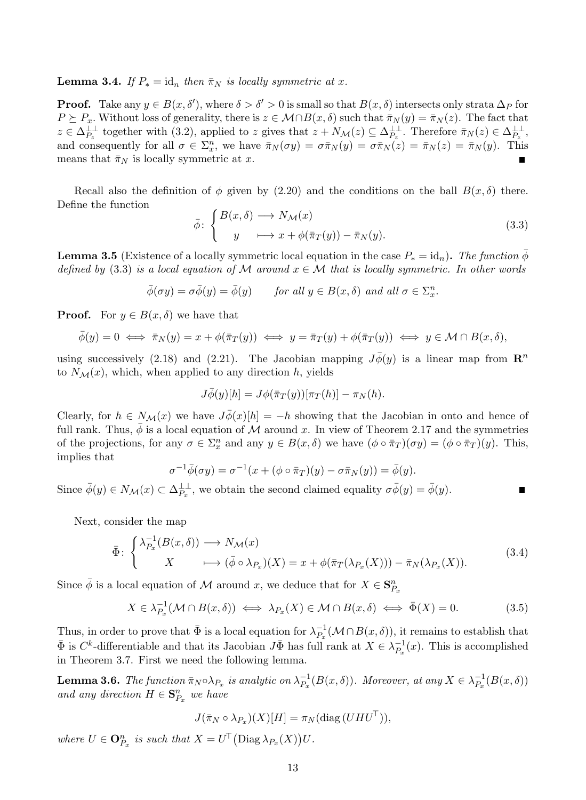**Lemma 3.4.** If  $P_* = id_n$  then  $\bar{\pi}_N$  is locally symmetric at x.

**Proof.** Take any  $y \in B(x, \delta')$ , where  $\delta > \delta' > 0$  is small so that  $B(x, \delta)$  intersects only strata  $\Delta_P$  for  $P \succeq P_x$ . Without loss of generality, there is  $z \in \mathcal{M} \cap B(x,\delta)$  such that  $\overline{\pi}_N(y) = \overline{\pi}_N(z)$ . The fact that  $z \in \Delta_{P_z}^{\perp \perp}$  together with (3.2), applied to z gives that  $z + N_{\mathcal{M}}(z) \subseteq \Delta_{P_z}^{\perp \perp}$ . Therefore  $\bar{\pi}_N(z) \in \Delta_{P_z}^{\perp \perp}$ , and consequently for all  $\sigma \in \Sigma_x^n$ , we have  $\bar{\pi}_N(\sigma y) = \sigma \bar{\pi}_N(y) = \sigma \bar{\pi}_N(z) = \bar{\pi}_N(z) = \bar{\pi}_N(y)$ . This means that  $\bar{\pi}_N$  is locally symmetric at x.

Recall also the definition of  $\phi$  given by (2.20) and the conditions on the ball  $B(x, \delta)$  there. Define the function

$$
\bar{\phi} \colon \begin{cases} B(x,\delta) \longrightarrow N_{\mathcal{M}}(x) \\ y \longmapsto x + \phi(\bar{\pi}_T(y)) - \bar{\pi}_N(y). \end{cases} \tag{3.3}
$$

**Lemma 3.5** (Existence of a locally symmetric local equation in the case  $P_* = id_n$ ). The function  $\bar{\phi}$ defined by (3.3) is a local equation of M around  $x \in M$  that is locally symmetric. In other words

$$
\bar{\phi}(\sigma y) = \sigma \bar{\phi}(y) = \bar{\phi}(y) \quad \text{for all } y \in B(x, \delta) \text{ and all } \sigma \in \Sigma_x^n.
$$

**Proof.** For  $y \in B(x, \delta)$  we have that

$$
\bar{\phi}(y) = 0 \iff \bar{\pi}_N(y) = x + \phi(\bar{\pi}_T(y)) \iff y = \bar{\pi}_T(y) + \phi(\bar{\pi}_T(y)) \iff y \in \mathcal{M} \cap B(x, \delta),
$$

using successively (2.18) and (2.21). The Jacobian mapping  $J\bar{\phi}(y)$  is a linear map from  $\mathbb{R}^n$ to  $N_{\mathcal{M}}(x)$ , which, when applied to any direction h, yields

$$
J\overline{\phi}(y)[h] = J\phi(\overline{\pi}_T(y))[\pi_T(h)] - \pi_N(h).
$$

Clearly, for  $h \in N_{\mathcal{M}}(x)$  we have  $J\overline{\phi}(x)[h] = -h$  showing that the Jacobian in onto and hence of full rank. Thus,  $\bar{\phi}$  is a local equation of M around x. In view of Theorem 2.17 and the symmetries of the projections, for any  $\sigma \in \Sigma_x^n$  and any  $y \in B(x,\delta)$  we have  $(\phi \circ \bar{\pi}_T)(\sigma y) = (\phi \circ \bar{\pi}_T)(y)$ . This, implies that

$$
\sigma^{-1}\overline{\phi}(\sigma y) = \sigma^{-1}(x + (\phi \circ \overline{\pi}_T)(y) - \sigma \overline{\pi}_N(y)) = \overline{\phi}(y).
$$

Since  $\bar{\phi}(y) \in N_{\mathcal{M}}(x) \subset \Delta_{P_x}^{\perp\perp}$ , we obtain the second claimed equality  $\sigma \bar{\phi}(y) = \bar{\phi}(y)$ . Г

Next, consider the map

$$
\bar{\Phi} \colon \begin{cases} \lambda_{P_x}^{-1}(B(x,\delta)) \longrightarrow N_{\mathcal{M}}(x) \\ X \longmapsto (\bar{\phi} \circ \lambda_{P_x})(X) = x + \phi(\bar{\pi}_T(\lambda_{P_x}(X))) - \bar{\pi}_N(\lambda_{P_x}(X)). \end{cases} (3.4)
$$

Since  $\bar{\phi}$  is a local equation of M around x, we deduce that for  $X \in \mathbf{S}_{P_x}^n$ 

$$
X \in \lambda_{P_x}^{-1}(\mathcal{M} \cap B(x,\delta)) \iff \lambda_{P_x}(X) \in \mathcal{M} \cap B(x,\delta) \iff \bar{\Phi}(X) = 0. \tag{3.5}
$$

Thus, in order to prove that  $\bar{\Phi}$  is a local equation for  $\lambda_P^{-1}$  $P_{P_x}^{-1}(\mathcal{M} \cap B(x,\delta))$ , it remains to establish that  $\bar{\Phi}$  is  $C^k$ -differentiable and that its Jacobian  $J\bar{\Phi}$  has full rank at  $X \in \lambda_P^{-1}$  $P_{\text{r}}^{-1}(x)$ . This is accomplished in Theorem 3.7. First we need the following lemma.

**Lemma 3.6.** The function  $\bar{\pi}_N \circ \lambda_{P_x}$  is analytic on  $\lambda_{P_x}^{-1}$  $P_{p_x}^{-1}(B(x,\delta))$ . Moreover, at any  $X \in \lambda_{P_x}^{-1}$  $P_x^{-1}(B(x,\delta))$ and any direction  $H \in \mathbf{S}_{P_x}^n$  we have

$$
J(\bar{\pi}_N \circ \lambda_{P_x})(X)[H] = \pi_N(\text{diag}(UHU^{\top})),
$$

where  $U \in \mathbf{O}_{P_x}^n$  is such that  $X = U^{\top}(\text{Diag }\lambda_{P_x}(X))U$ .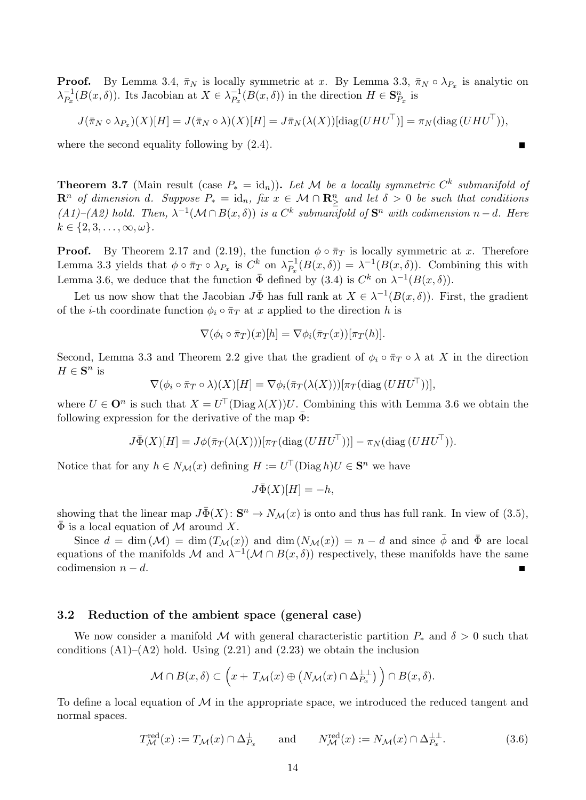**Proof.** By Lemma 3.4,  $\bar{\pi}_N$  is locally symmetric at x. By Lemma 3.3,  $\bar{\pi}_N \circ \lambda_{P_x}$  is analytic on  $\lambda_{P_{n}}^{-1}$  $_{P_x}^{-1}(B(x,\delta))$ . Its Jacobian at  $X \in \lambda_{P_x}^{-1}$  $P_x^{-1}(B(x,\delta))$  in the direction  $H \in \mathbf{S}_{P_x}^n$  is

$$
J(\bar{\pi}_N \circ \lambda_{P_x})(X)[H] = J(\bar{\pi}_N \circ \lambda)(X)[H] = J\bar{\pi}_N(\lambda(X))[\text{diag}(UHU^{\top})] = \pi_N(\text{diag}(UHU^{\top})),
$$

Г

where the second equality following by  $(2.4)$ .

**Theorem 3.7** (Main result (case  $P_* = id_n$ )). Let M be a locally symmetric  $C^k$  submanifold of  $\mathbf{R}^n$  of dimension d. Suppose  $P_* = \mathrm{id}_n$ , fix  $x \in \mathcal{M} \cap \mathbf{R}^n_{\geq}$  and let  $\delta > 0$  be such that conditions  $(A1)$ – $(A2)$  hold. Then,  $\lambda^{-1}(\mathcal{M} \cap B(x, \delta))$  is a  $C^k$  submanifold of  $S^n$  with codimension  $n-d$ . Here  $k \in \{2, 3, \ldots, \infty, \omega\}.$ 

**Proof.** By Theorem 2.17 and (2.19), the function  $\phi \circ \bar{\pi}_T$  is locally symmetric at x. Therefore Lemma 3.3 yields that  $\phi \circ \bar{\pi}_T \circ \lambda_{P_x}$  is  $C^k$  on  $\lambda_{P_x}^{-1}$  $P_{p_x}^{-1}(B(x,\delta)) = \lambda^{-1}(B(x,\delta)).$  Combining this with Lemma 3.6, we deduce that the function  $\bar{\Phi}$  defined by (3.4) is  $C^k$  on  $\lambda^{-1}(B(x,\delta))$ .

Let us now show that the Jacobian  $J\bar{\Phi}$  has full rank at  $X \in \lambda^{-1}(B(x,\delta))$ . First, the gradient of the *i*-th coordinate function  $\phi_i \circ \overline{\pi}_T$  at x applied to the direction h is

$$
\nabla(\phi_i \circ \bar{\pi}_T)(x)[h] = \nabla \phi_i(\bar{\pi}_T(x))[\pi_T(h)].
$$

Second, Lemma 3.3 and Theorem 2.2 give that the gradient of  $\phi_i \circ \bar{\pi}_T \circ \lambda$  at X in the direction  $H \in \mathbf{S}^n$  is

$$
\nabla(\phi_i \circ \bar{\pi}_T \circ \lambda)(X)[H] = \nabla \phi_i(\bar{\pi}_T(\lambda(X)))[\pi_T(\text{diag}(UHU^{\top}))],
$$

where  $U \in \mathbf{O}^n$  is such that  $X = U^{\top}(\text{Diag }\lambda(X))U$ . Combining this with Lemma 3.6 we obtain the following expression for the derivative of the map  $\bar{\Phi}$ :

$$
J\overline{\Phi}(X)[H] = J\phi(\overline{\pi}_T(\lambda(X)))[\pi_T(\operatorname{diag}(UHU^{\top}))] - \pi_N(\operatorname{diag}(UHU^{\top}))
$$

Notice that for any  $h \in N_{\mathcal{M}}(x)$  defining  $H := U^{\top}(\text{Diag } h)U \in \mathbf{S}^n$  we have

$$
J\bar{\Phi}(X)[H] = -h,
$$

showing that the linear map  $J\bar{\Phi}(X)$ :  $S^n \to N_{\mathcal{M}}(x)$  is onto and thus has full rank. In view of (3.5),  $\bar{\Phi}$  is a local equation of M around X.

Since  $d = \dim(M) = \dim(T_{\mathcal{M}}(x))$  and  $\dim(N_{\mathcal{M}}(x)) = n - d$  and since  $\bar{\phi}$  and  $\bar{\Phi}$  are local equations of the manifolds M and  $\lambda^{-1}(\mathcal{M} \cap B(x, \delta))$  respectively, these manifolds have the same codimension  $n - d$ .

### 3.2 Reduction of the ambient space (general case)

We now consider a manifold M with general characteristic partition  $P_*$  and  $\delta > 0$  such that conditions  $(A1)$ – $(A2)$  hold. Using  $(2.21)$  and  $(2.23)$  we obtain the inclusion

$$
\mathcal{M} \cap B(x,\delta) \subset \left(x + T_{\mathcal{M}}(x) \oplus \left(N_{\mathcal{M}}(x) \cap \Delta_{P_x}^{\perp \perp}\right)\right) \cap B(x,\delta).
$$

To define a local equation of  $\mathcal M$  in the appropriate space, we introduced the reduced tangent and normal spaces.

$$
T_{\mathcal{M}}^{\text{red}}(x) := T_{\mathcal{M}}(x) \cap \Delta_{P_x}^{\perp} \qquad \text{and} \qquad N_{\mathcal{M}}^{\text{red}}(x) := N_{\mathcal{M}}(x) \cap \Delta_{P_x}^{\perp \perp}.
$$
 (3.6)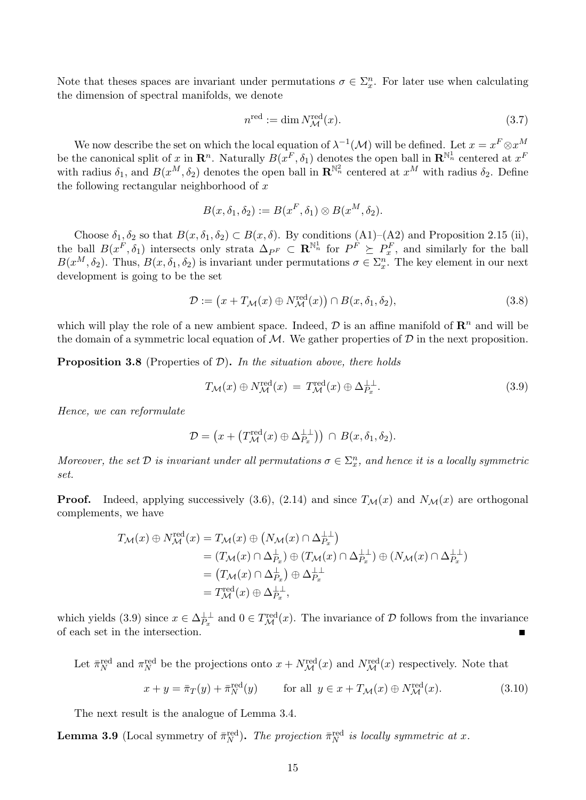Note that theses spaces are invariant under permutations  $\sigma \in \Sigma_{x}^{n}$ . For later use when calculating the dimension of spectral manifolds, we denote

$$
n^{\text{red}} := \dim N^{\text{red}}_{\mathcal{M}}(x). \tag{3.7}
$$

We now describe the set on which the local equation of  $\lambda^{-1}(\mathcal{M})$  will be defined. Let  $x = x^F \otimes x^M$ be the canonical split of x in  $\mathbb{R}^n$ . Naturally  $B(x^F, \delta_1)$  denotes the open ball in  $\mathbb{R}^{\mathbb{N}_n^1}$  centered at  $x^F$ with radius  $\delta_1$ , and  $B(x^M, \delta_2)$  denotes the open ball in  $\mathbb{R}^{\mathbb{N}_n^2}$  centered at  $x^M$  with radius  $\delta_2$ . Define the following rectangular neighborhood of  $x$ 

$$
B(x, \delta_1, \delta_2) := B(x^F, \delta_1) \otimes B(x^M, \delta_2).
$$

Choose  $\delta_1, \delta_2$  so that  $B(x, \delta_1, \delta_2) \subset B(x, \delta)$ . By conditions  $(A1)$ – $(A2)$  and Proposition 2.15 (ii), the ball  $B(x^F, \delta_1)$  intersects only strata  $\Delta_{PF} \subset \mathbf{R}^{\mathbb{N}_n}$  for  $P^F \succeq P_x^F$ , and similarly for the ball  $B(x^M, \delta_2)$ . Thus,  $B(x, \delta_1, \delta_2)$  is invariant under permutations  $\sigma \in \Sigma_x^n$ . The key element in our next development is going to be the set

$$
\mathcal{D} := (x + T_{\mathcal{M}}(x) \oplus N_{\mathcal{M}}^{\text{red}}(x)) \cap B(x, \delta_1, \delta_2), \tag{3.8}
$$

which will play the role of a new ambient space. Indeed,  $\mathcal D$  is an affine manifold of  $\mathbb R^n$  and will be the domain of a symmetric local equation of  $M$ . We gather properties of  $D$  in the next proposition.

**Proposition 3.8** (Properties of  $\mathcal{D}$ ). In the situation above, there holds

$$
T_{\mathcal{M}}(x) \oplus N_{\mathcal{M}}^{\text{red}}(x) = T_{\mathcal{M}}^{\text{red}}(x) \oplus \Delta_{P_x}^{\perp \perp}.
$$
\n(3.9)

Hence, we can reformulate

$$
\mathcal{D} = \left(x + \left(T_{\mathcal{M}}^{\text{red}}(x) \oplus \Delta_{P_x}^{\perp \perp}\right)\right) \cap B(x, \delta_1, \delta_2).
$$

Moreover, the set  $D$  is invariant under all permutations  $\sigma \in \Sigma_x^n$ , and hence it is a locally symmetric set.

**Proof.** Indeed, applying successively (3.6), (2.14) and since  $T_M(x)$  and  $N_M(x)$  are orthogonal complements, we have

$$
T_{\mathcal{M}}(x) \oplus N_{\mathcal{M}}^{\text{red}}(x) = T_{\mathcal{M}}(x) \oplus (N_{\mathcal{M}}(x) \cap \Delta_{P_x}^{\perp \perp})
$$
  
\n
$$
= (T_{\mathcal{M}}(x) \cap \Delta_{P_x}^{\perp}) \oplus (T_{\mathcal{M}}(x) \cap \Delta_{P_x}^{\perp \perp}) \oplus (N_{\mathcal{M}}(x) \cap \Delta_{P_x}^{\perp \perp})
$$
  
\n
$$
= (T_{\mathcal{M}}(x) \cap \Delta_{P_x}^{\perp}) \oplus \Delta_{P_x}^{\perp \perp}
$$
  
\n
$$
= T_{\mathcal{M}}^{\text{red}}(x) \oplus \Delta_{P_x}^{\perp \perp},
$$

which yields (3.9) since  $x \in \Delta_{P_x}^{\perp \perp}$  and  $0 \in T^{\text{red}}_{\mathcal{M}}(x)$ . The invariance of  $\mathcal D$  follows from the invariance of each set in the intersection.

Let  $\bar{\pi}_N^{\text{red}}$  and  $\pi_N^{\text{red}}$  be the projections onto  $x + N^{\text{red}}_{\mathcal{M}}(x)$  and  $N^{\text{red}}_{\mathcal{M}}(x)$  respectively. Note that

$$
x + y = \overline{\pi}_T(y) + \overline{\pi}_N^{\text{red}}(y) \qquad \text{for all } y \in x + T_{\mathcal{M}}(x) \oplus N_{\mathcal{M}}^{\text{red}}(x). \tag{3.10}
$$

The next result is the analogue of Lemma 3.4.

**Lemma 3.9** (Local symmetry of  $\bar{\pi}_N^{\text{red}}$ ). The projection  $\bar{\pi}_N^{\text{red}}$  is locally symmetric at x.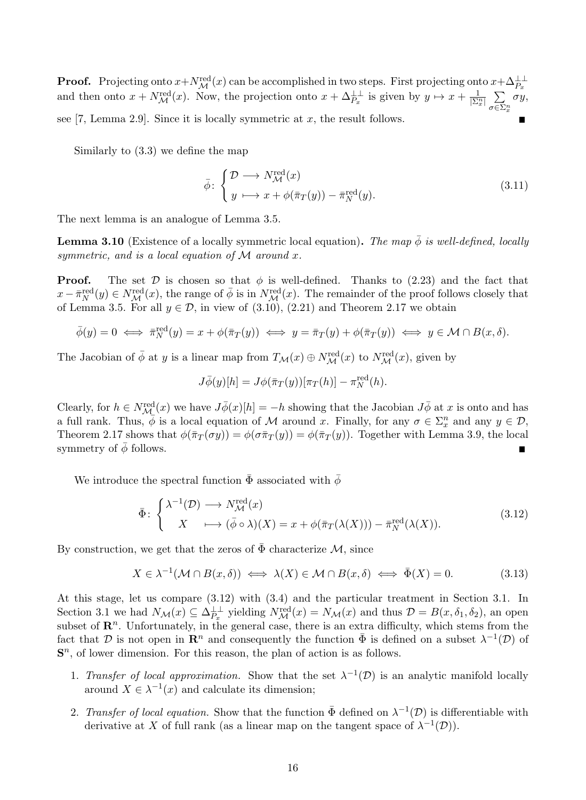**Proof.** Projecting onto  $x + N_{\mathcal{M}}^{\text{red}}(x)$  can be accomplished in two steps. First projecting onto  $x + \Delta_{P_x}^{\perp\perp}$ **Proof.** Projecting onto  $x + Ny$  (x) can be accomplished in two steps. Prist projecting onto  $x + \Delta_{P_x}^P$  and then onto  $x + Ny^{red}(x)$ . Now, the projection onto  $x + \Delta_{P_x}^{\perp \perp}$  is given by  $y \mapsto x + \frac{1}{|\Sigma_x^n|} \sum_{z \in \Sigma_n^n} \sigma_z$ σ∈Σ<sup>n</sup> x σy, see [7, Lemma 2.9]. Since it is locally symmetric at  $x$ , the result follows.

Similarly to (3.3) we define the map

$$
\bar{\phi} \colon \begin{cases} \mathcal{D} \longrightarrow N_{\mathcal{M}}^{\text{red}}(x) \\ y \longmapsto x + \phi(\bar{\pi}_T(y)) - \bar{\pi}_N^{\text{red}}(y). \end{cases} \tag{3.11}
$$

The next lemma is an analogue of Lemma 3.5.

**Lemma 3.10** (Existence of a locally symmetric local equation). The map  $\bar{\phi}$  is well-defined, locally symmetric, and is a local equation of  $\mathcal M$  around x.

**Proof.** The set D is chosen so that  $\phi$  is well-defined. Thanks to (2.23) and the fact that  $x - \bar{\pi}_N^{\text{red}}(y) \in N^{\text{red}}_{\mathcal{M}}(x)$ , the range of  $\bar{\phi}$  is in  $N^{\text{red}}_{\mathcal{M}}(x)$ . The remainder of the proof follows closely that of Lemma 3.5. For all  $y \in \mathcal{D}$ , in view of (3.10), (2.21) and Theorem 2.17 we obtain

$$
\bar{\phi}(y) = 0 \iff \bar{\pi}_N^{\text{red}}(y) = x + \phi(\bar{\pi}_T(y)) \iff y = \bar{\pi}_T(y) + \phi(\bar{\pi}_T(y)) \iff y \in \mathcal{M} \cap B(x, \delta).
$$

The Jacobian of  $\bar{\phi}$  at y is a linear map from  $T_{\mathcal{M}}(x) \oplus N_{\mathcal{M}}^{\text{red}}(x)$  to  $N_{\mathcal{M}}^{\text{red}}(x)$ , given by

$$
J\overline{\phi}(y)[h] = J\phi(\overline{\pi}_T(y))[\pi_T(h)] - \pi_N^{\text{red}}(h).
$$

Clearly, for  $h \in N^{\text{red}}_{\mathcal{M}}(x)$  we have  $J\overline{\phi}(x)[h] = -h$  showing that the Jacobian  $J\overline{\phi}$  at x is onto and has a full rank. Thus,  $\phi$  is a local equation of M around x. Finally, for any  $\sigma \in \Sigma_x^n$  and any  $y \in \mathcal{D}$ , Theorem 2.17 shows that  $\phi(\bar{\pi}_T(\sigma y)) = \phi(\sigma \bar{\pi}_T(y)) = \phi(\bar{\pi}_T(y))$ . Together with Lemma 3.9, the local symmetry of  $\bar{\phi}$  follows.

We introduce the spectral function  $\bar{\Phi}$  associated with  $\bar{\phi}$ 

$$
\bar{\Phi} \colon \begin{cases} \lambda^{-1}(\mathcal{D}) \longrightarrow N_{\mathcal{M}}^{\text{red}}(x) \\ X \longmapsto (\bar{\phi} \circ \lambda)(X) = x + \phi(\bar{\pi}_T(\lambda(X))) - \bar{\pi}_N^{\text{red}}(\lambda(X)). \end{cases} (3.12)
$$

By construction, we get that the zeros of  $\bar{\Phi}$  characterize M, since

$$
X \in \lambda^{-1}(\mathcal{M} \cap B(x,\delta)) \iff \lambda(X) \in \mathcal{M} \cap B(x,\delta) \iff \bar{\Phi}(X) = 0. \tag{3.13}
$$

At this stage, let us compare (3.12) with (3.4) and the particular treatment in Section 3.1. In Section 3.1 we had  $N_{\mathcal{M}}(x) \subseteq \Delta_{P_x}^{\perp\perp}$  yielding  $N_{\mathcal{M}}^{\text{red}}(x) = N_{\mathcal{M}}(x)$  and thus  $\mathcal{D} = B(x, \delta_1, \delta_2)$ , an open subset of  $\mathbb{R}^n$ . Unfortunately, in the general case, there is an extra difficulty, which stems from the fact that D is not open in  $\mathbf{R}^n$  and consequently the function  $\bar{\Phi}$  is defined on a subset  $\lambda^{-1}(\mathcal{D})$  of  $S<sup>n</sup>$ , of lower dimension. For this reason, the plan of action is as follows.

- 1. Transfer of local approximation. Show that the set  $\lambda^{-1}(\mathcal{D})$  is an analytic manifold locally around  $X \in \lambda^{-1}(x)$  and calculate its dimension;
- 2. Transfer of local equation. Show that the function  $\bar{\Phi}$  defined on  $\lambda^{-1}(\mathcal{D})$  is differentiable with derivative at X of full rank (as a linear map on the tangent space of  $\lambda^{-1}(\mathcal{D})$ ).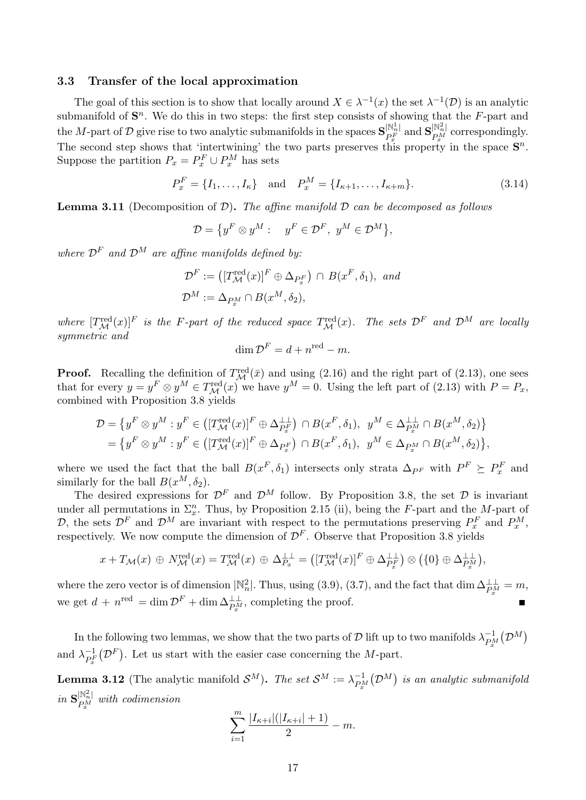#### 3.3 Transfer of the local approximation

The goal of this section is to show that locally around  $X \in \lambda^{-1}(x)$  the set  $\lambda^{-1}(\mathcal{D})$  is an analytic submanifold of  $S<sup>n</sup>$ . We do this in two steps: the first step consists of showing that the  $F$ -part and the M-part of D give rise to two analytic submanifolds in the spaces  $S_{pF}^{N_h^1}$  $\frac{|\mathbb{N}^1_n|}{P^F_x}$  and  $\mathbf{S}_{P^M_x}^{|\mathbb{N}^2_n|}$ The second step shows that 'intertwining' the two parts preserves this property in the space  $\mathbf{S}^n$ .  $P_x^M$  correspondingly. Suppose the partition  $P_x = P_x^F \cup P_x^M$  has sets

$$
P_x^F = \{I_1, \dots, I_\kappa\} \quad \text{and} \quad P_x^M = \{I_{\kappa+1}, \dots, I_{\kappa+m}\}.
$$
 (3.14)

**Lemma 3.11** (Decomposition of  $\mathcal{D}$ ). The affine manifold  $\mathcal{D}$  can be decomposed as follows

$$
\mathcal{D}=\big\{y^F\otimes y^M: \quad y^F\in\mathcal{D}^F,\ y^M\in\mathcal{D}^M\big\},
$$

where  $\mathcal{D}^F$  and  $\mathcal{D}^M$  are affine manifolds defined by:

$$
\mathcal{D}^F := ([T^{\text{red}}_{\mathcal{M}}(x)]^F \oplus \Delta_{P_x^F}) \cap B(x^F, \delta_1), \text{ and}
$$
  

$$
\mathcal{D}^M := \Delta_{P_x^M} \cap B(x^M, \delta_2),
$$

where  $[T^{\text{red}}_{\mathcal{M}}(x)]^F$  is the F-part of the reduced space  $T^{\text{red}}_{\mathcal{M}}(x)$ . The sets  $\mathcal{D}^F$  and  $\mathcal{D}^M$  are locally symmetric and

$$
\dim \mathcal{D}^F = d + n^{\text{red}} - m.
$$

**Proof.** Recalling the definition of  $T^{\text{red}}_{\mathcal{M}}(\bar{x})$  and using (2.16) and the right part of (2.13), one sees that for every  $y = y^F \otimes y^M \in T^{\text{red}}_{\mathcal{M}}(x)$  we have  $y^M = 0$ . Using the left part of (2.13) with  $P = P_x$ , combined with Proposition 3.8 yields

$$
\mathcal{D} = \{ y^F \otimes y^M : y^F \in \left( [T^{\text{red}}_{\mathcal{M}}(x)]^F \oplus \Delta^{\perp}_{P_x^F} \right) \cap B(x^F, \delta_1), y^M \in \Delta^{\perp}_{P_x^M} \cap B(x^M, \delta_2) \} \n= \{ y^F \otimes y^M : y^F \in \left( [T^{\text{red}}_{\mathcal{M}}(x)]^F \oplus \Delta_{P_x^F} \right) \cap B(x^F, \delta_1), y^M \in \Delta_{P_x^M} \cap B(x^M, \delta_2) \},
$$

where we used the fact that the ball  $B(x^F, \delta_1)$  intersects only strata  $\Delta_{P^F}$  with  $P^F \succeq P_x^F$  and similarly for the ball  $B(x^M, \delta_2)$ .

The desired expressions for  $\mathcal{D}^F$  and  $\mathcal{D}^M$  follow. By Proposition 3.8, the set  $\mathcal D$  is invariant under all permutations in  $\Sigma_x^n$ . Thus, by Proposition 2.15 (ii), being the F-part and the M-part of D, the sets  $\mathcal{D}^F$  and  $\mathcal{D}^M$  are invariant with respect to the permutations preserving  $P_x^F$  and  $P_x^M$ , respectively. We now compute the dimension of  $\mathcal{D}^F$ . Observe that Proposition 3.8 yields

$$
x + T_{\mathcal{M}}(x) \oplus N_{\mathcal{M}}^{\text{red}}(x) = T_{\mathcal{M}}^{\text{red}}(x) \oplus \Delta_{P_x}^{\perp \perp} = ([T_{\mathcal{M}}^{\text{red}}(x)]^F \oplus \Delta_{P_x}^{\perp \perp}) \otimes (\{0\} \oplus \Delta_{P_x}^{\perp \perp}),
$$

where the zero vector is of dimension  $\mathbb{N}_n^2$ . Thus, using (3.9), (3.7), and the fact that dim  $\Delta_{P_x^M}^{\perp\perp} = m$ , we get  $d + n^{\text{red}} = \dim \mathcal{D}^F + \dim \Delta_{P_x^M}^{\perp}$ , completing the proof.

In the following two lemmas, we show that the two parts of  $\mathcal D$  lift up to two manifolds  $\lambda_{\scriptscriptstyle PA}^{-1}$  $\frac{-1}{P^M_x} \big(\mathcal{D}^M \big)$ and  $\lambda_{\scriptscriptstyle DF}^{-1}$  $\frac{-1}{P_x^F}(\mathcal{D}^F)$ . Let us start with the easier case concerning the M-part.

**Lemma 3.12** (The analytic manifold  $\mathcal{S}^M$ ). The set  $\mathcal{S}^M := \lambda_{\text{PA}}^{-1}$  $\mathop{P^M_{x}}\limits^{-1}(\mathcal{D}^{M})$  is an analytic submanifold  $in$   $\mathbf{S}_{\scriptscriptstyle DM}^{|\mathbb{N}_n^2|}$  $P_x^{\scriptscriptstyle [18]_n}$  with codimension

$$
\sum_{i=1}^{m} \frac{|I_{\kappa+i}|(|I_{\kappa+i}|+1)}{2} - m.
$$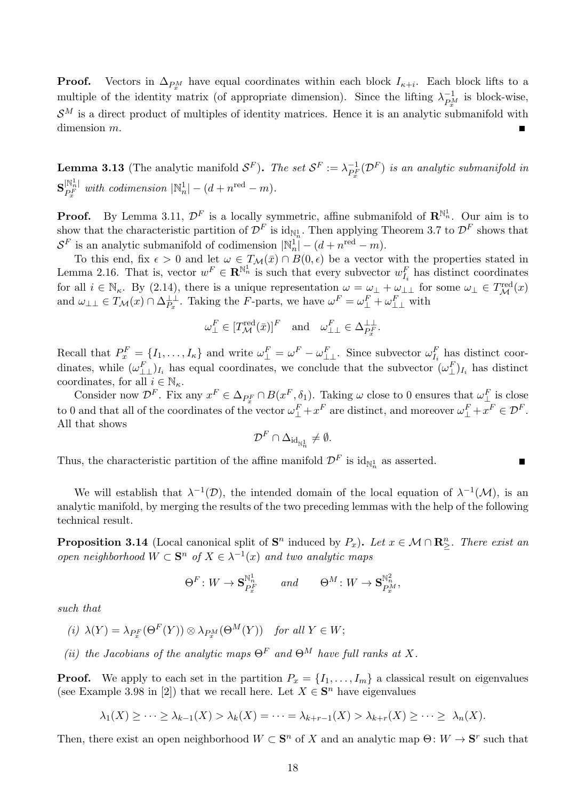**Proof.** Vectors in  $\Delta_{P_x^M}$  have equal coordinates within each block  $I_{\kappa+i}$ . Each block lifts to a multiple of the identity matrix (of appropriate dimension). Since the lifting  $\lambda_{\scriptscriptstyle{D}}^{-1}$  $\overline{P_x^M}$  is block-wise,  $\mathcal{S}^M$  is a direct product of multiples of identity matrices. Hence it is an analytic submanifold with dimension m. Е

**Lemma 3.13** (The analytic manifold  $\mathcal{S}^F$ ). The set  $\mathcal{S}^F := \lambda_{\text{p}F}^{-1}$  $\frac{-1}{P_{x}^{F}}(\mathcal{D}^{F})$  is an analytic submanifold in  $\textbf{S}_{\scriptscriptstyle{DF}}^{|\mathbb{N}_n^1|}$  $\mathbb{P}_{F}^{\|\mathbb{N}_{n}^{1}|}$  with codimension  $|\mathbb{N}_{n}^{1}|-(d+n^{\text{red}}-m)$ .

**Proof.** By Lemma 3.11,  $\mathcal{D}^F$  is a locally symmetric, affine submanifold of  $\mathbb{R}^{\mathbb{N}_n}$ . Our aim is to show that the characteristic partition of  $\mathcal{D}^F$  is  $\mathrm{id}_{\mathbb{N}_n^1}$ . Then applying Theorem 3.7 to  $\mathcal{D}^F$  shows that  $\mathcal{S}^F$  is an analytic submanifold of codimension  $|\mathbb{N}_n^1| - (d + n^{\text{red}} - m)$ .

To this end, fix  $\epsilon > 0$  and let  $\omega \in T_{\mathcal{M}}(\bar{x}) \cap B(0, \epsilon)$  be a vector with the properties stated in Lemma 2.16. That is, vector  $w^F \in \mathbb{R}^{\mathbb{N}_n^1}$  is such that every subvector  $w_{I_i}^F$  has distinct coordinates for all  $i \in \mathbb{N}_{\kappa}$ . By (2.14), there is a unique representation  $\omega = \omega_{\perp} + \omega_{\perp\perp}$  for some  $\omega_{\perp} \in T_{\mathcal{M}}^{\text{red}}(x)$ and  $\omega_{\perp\perp} \in T_{\mathcal{M}}(x) \cap \Delta_{P_x}^{\perp\perp}$ . Taking the F-parts, we have  $\omega^F = \omega_{\perp}^F + \omega_{\perp\perp}^F$  with

$$
\omega_{\perp}^F \in [T_{\mathcal{M}}^{\text{red}}(\bar{x})]^F \quad \text{and} \quad \omega_{\perp\perp}^F \in \Delta_{P_x^F}^{\perp\perp}.
$$

Recall that  $P_x^F = \{I_1, \ldots, I_\kappa\}$  and write  $\omega_{\perp}^F = \omega^F - \omega_{\perp\perp}^F$ . Since subvector  $\omega_{I_i}^F$  has distinct coordinates, while  $(\omega_{\perp\perp}^F)_{I_i}$  has equal coordinates, we conclude that the subvector  $(\omega_{\perp}^F)_{I_i}$  has distinct coordinates, for all  $i \in \mathbb{N}_{\kappa}$ .

Consider now  $\mathcal{D}^F$ . Fix any  $x^F \in \Delta_{P_x^F} \cap B(x^F, \delta_1)$ . Taking  $\omega$  close to 0 ensures that  $\omega_{\perp}^F$  is close to 0 and that all of the coordinates of the vector  $\omega_{\perp}^F + x^F$  are distinct, and moreover  $\omega_{\perp}^F + x^F \in \mathcal{D}^F$ . All that shows

$$
\mathcal{D}^F\cap \Delta_{\mathrm{id}_{\mathbb{N}_n^1}}\neq \emptyset.
$$

Thus, the characteristic partition of the affine manifold  $\mathcal{D}^F$  is  $\mathrm{id}_{\mathbb{N}_n^1}$  as asserted.

We will establish that  $\lambda^{-1}(\mathcal{D})$ , the intended domain of the local equation of  $\lambda^{-1}(\mathcal{M})$ , is an analytic manifold, by merging the results of the two preceding lemmas with the help of the following technical result.

**Proposition 3.14** (Local canonical split of  $S^n$  induced by  $P_x$ ). Let  $x \in \mathcal{M} \cap \mathbb{R}^n_{\geq}$ . There exist an open neighborhood  $W \subset \mathbf{S}^n$  of  $X \in \lambda^{-1}(x)$  and two analytic maps

$$
\Theta^F\colon W\to \mathbf{S}^{\mathbb{N}^1_n}_{P^F_x}\qquad and \qquad \Theta^M\colon W\to \mathbf{S}^{\mathbb{N}^2_n}_{P^M_x},
$$

such that

$$
(i) \ \lambda(Y) = \lambda_{P_x^F}(\Theta^F(Y)) \otimes \lambda_{P_x^M}(\Theta^M(Y)) \quad \text{for all } Y \in W;
$$

(ii) the Jacobians of the analytic maps  $\Theta^F$  and  $\Theta^M$  have full ranks at X.

**Proof.** We apply to each set in the partition  $P_x = \{I_1, \ldots, I_m\}$  a classical result on eigenvalues (see Example 3.98 in [2]) that we recall here. Let  $X \in \mathbf{S}^n$  have eigenvalues

$$
\lambda_1(X) \geq \cdots \geq \lambda_{k-1}(X) > \lambda_k(X) = \cdots = \lambda_{k+r-1}(X) > \lambda_{k+r}(X) \geq \cdots \geq \lambda_n(X).
$$

Then, there exist an open neighborhood  $W \subset \mathbf{S}^n$  of X and an analytic map  $\Theta: W \to \mathbf{S}^r$  such that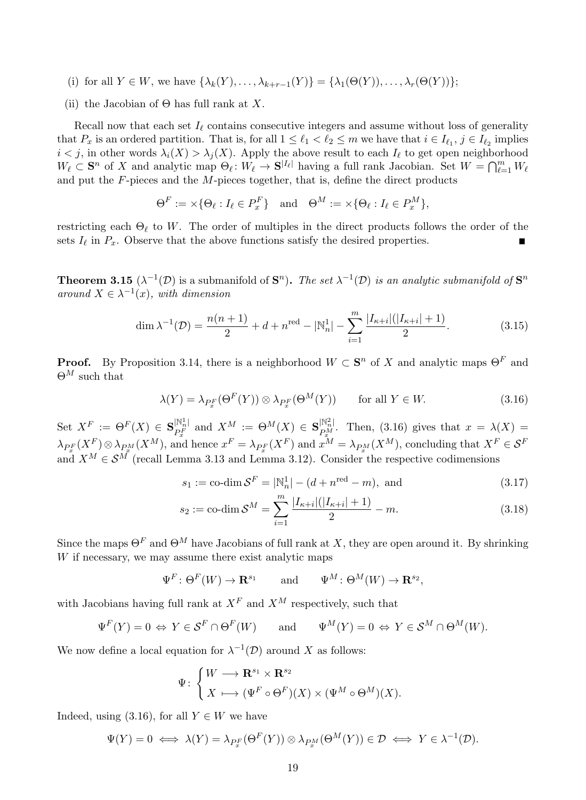- (i) for all  $Y \in W$ , we have  $\{\lambda_k(Y), \ldots, \lambda_{k+r-1}(Y)\} = \{\lambda_1(\Theta(Y)), \ldots, \lambda_r(\Theta(Y))\}$ ;
- (ii) the Jacobian of  $\Theta$  has full rank at X.

Recall now that each set  $I_\ell$  contains consecutive integers and assume without loss of generality that  $P_x$  is an ordered partition. That is, for all  $1 \leq \ell_1 < \ell_2 \leq m$  we have that  $i \in I_{\ell_1}, j \in I_{\ell_2}$  implies  $i < j$ , in other words  $\lambda_i(X) > \lambda_j(X)$ . Apply the above result to each  $I_\ell$  to get open neighborhood  $W_\ell \subset \mathbf{S}^n$  of X and analytic map  $\Theta_\ell: W_\ell \to \mathbf{S}^{|I_\ell|}$  having a full rank Jacobian. Set  $W = \bigcap_{\ell=1}^m W_\ell$ and put the  $F$ -pieces and the  $M$ -pieces together, that is, define the direct products

$$
\Theta^F := \times \{ \Theta_\ell : I_\ell \in P_x^F \} \quad \text{and} \quad \Theta^M := \times \{ \Theta_\ell : I_\ell \in P_x^M \},
$$

restricting each  $\Theta_{\ell}$  to W. The order of multiples in the direct products follows the order of the sets  $I_\ell$  in  $P_x$ . Observe that the above functions satisfy the desired properties.

**Theorem 3.15** ( $\lambda^{-1}(\mathcal{D})$  is a submanifold of  $\mathbf{S}^n$ ). The set  $\lambda^{-1}(\mathcal{D})$  is an analytic submanifold of  $\mathbf{S}^n$ around  $X \in \lambda^{-1}(x)$ , with dimension

$$
\dim \lambda^{-1}(\mathcal{D}) = \frac{n(n+1)}{2} + d + n^{\text{red}} - |\mathbb{N}_n^1| - \sum_{i=1}^m \frac{|I_{\kappa+i}|(|I_{\kappa+i}|+1)}{2}.
$$
 (3.15)

**Proof.** By Proposition 3.14, there is a neighborhood  $W \subset S^n$  of X and analytic maps  $\Theta^F$  and  $\Theta^M$  such that

$$
\lambda(Y) = \lambda_{P_x^F}(\Theta^F(Y)) \otimes \lambda_{P_x^F}(\Theta^M(Y)) \quad \text{for all } Y \in W.
$$
 (3.16)

Set  $X^F := \Theta^F(X) \in \mathbf{S}_{pF}^{N_n^1}$  $P_{F}^{[N_n^1]}$  and  $X^M = \Theta^M(X) \in \mathbf{S}_{P_{\mathcal{X}}^M}^{[N_n^2]}$ <sup>[N<sub>n</sub>]</sup>. Then, (3.16) gives that  $x = \lambda(X) =$  $\lambda_{P_x^F}(X^F)\otimes \lambda_{P_x^M}(X^M)$ , and hence  $x^F=\lambda_{P_x^F}(X^F)$  and  $x^M=\lambda_{P_x^M}(X^M)$ , concluding that  $X^F\in \mathcal{S}^F$ and  $X^M \in \mathcal{S}^M$  (recall Lemma 3.13 and Lemma 3.12). Consider the respective codimensions

$$
s_1 := \text{co-dim }\mathcal{S}^F = |\mathbb{N}_n^1| - (d + n^{\text{red}} - m), \text{ and}
$$
 (3.17)

$$
s_2 := \text{co-dim}\,\mathcal{S}^M = \sum_{i=1}^m \frac{|I_{\kappa+i}|(|I_{\kappa+i}|+1)}{2} - m.
$$
 (3.18)

Since the maps  $\Theta^F$  and  $\Theta^M$  have Jacobians of full rank at X, they are open around it. By shrinking  $W$  if necessary, we may assume there exist analytic maps

$$
\Psi^F \colon \Theta^F(W) \to \mathbf{R}^{s_1}
$$
 and  $\Psi^M \colon \Theta^M(W) \to \mathbf{R}^{s_2}$ ,

with Jacobians having full rank at  $X^F$  and  $X^M$  respectively, such that

$$
\Psi^F(Y) = 0 \Leftrightarrow Y \in \mathcal{S}^F \cap \Theta^F(W) \quad \text{and} \quad \Psi^M(Y) = 0 \Leftrightarrow Y \in \mathcal{S}^M \cap \Theta^M(W).
$$

We now define a local equation for  $\lambda^{-1}(\mathcal{D})$  around X as follows:

$$
\Psi \colon \begin{cases} W \longrightarrow \mathbf{R}^{s_1} \times \mathbf{R}^{s_2} \\ X \longmapsto (\Psi^F \circ \Theta^F)(X) \times (\Psi^M \circ \Theta^M)(X). \end{cases}
$$

Indeed, using (3.16), for all  $Y \in W$  we have

$$
\Psi(Y) = 0 \iff \lambda(Y) = \lambda_{P_x^F}(\Theta^F(Y)) \otimes \lambda_{P_x^M}(\Theta^M(Y)) \in \mathcal{D} \iff Y \in \lambda^{-1}(\mathcal{D}).
$$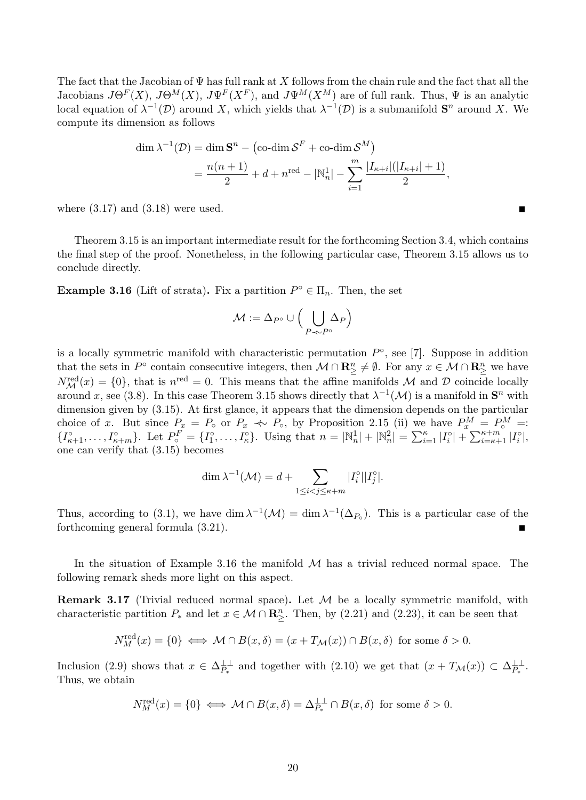The fact that the Jacobian of  $\Psi$  has full rank at X follows from the chain rule and the fact that all the Jacobians  $J\Theta^F(X)$ ,  $J\Theta^M(X)$ ,  $J\Psi^F(X^F)$ , and  $J\Psi^M(X^M)$  are of full rank. Thus,  $\Psi$  is an analytic local equation of  $\lambda^{-1}(\mathcal{D})$  around X, which yields that  $\lambda^{-1}(\mathcal{D})$  is a submanifold  $S<sup>n</sup>$  around X. We compute its dimension as follows

$$
\dim \lambda^{-1}(\mathcal{D}) = \dim \mathbf{S}^n - (\text{co-dim }\mathcal{S}^F + \text{co-dim }\mathcal{S}^M)
$$
  
=  $\frac{n(n+1)}{2} + d + n^{\text{red}} - |\mathbb{N}_n^1| - \sum_{i=1}^m \frac{|I_{\kappa+i}|(|I_{\kappa+i}|+1)}{2},$ 

where  $(3.17)$  and  $(3.18)$  were used.

Theorem 3.15 is an important intermediate result for the forthcoming Section 3.4, which contains the final step of the proof. Nonetheless, in the following particular case, Theorem 3.15 allows us to conclude directly.

**Example 3.16** (Lift of strata). Fix a partition  $P^{\circ} \in \Pi_n$ . Then, the set

$$
\mathcal{M}:=\Delta_{P^{\circ}}\cup\Big(\bigcup_{P\prec\!\sim P^{\circ}}\!\!\Delta_P\Big)
$$

is a locally symmetric manifold with characteristic permutation  $P^{\circ}$ , see [7]. Suppose in addition that the sets in  $P^{\circ}$  contain consecutive integers, then  $\mathcal{M} \cap \mathbb{R}^n \neq \emptyset$ . For any  $x \in \mathcal{M} \cap \mathbb{R}^n \geq 0$  $N_{\mathcal{M}}^{\text{red}}(x) = \{0\}$ , that is  $n^{\text{red}} = 0$ . This means that the affine manifolds M and D coincide locally around x, see (3.8). In this case Theorem 3.15 shows directly that  $\lambda^{-1}(\mathcal{M})$  is a manifold in  $\mathbf{S}^n$  with dimension given by (3.15). At first glance, it appears that the dimension depends on the particular choice of x. But since  $P_x = P_{\circ}$  or  $P_x \ll P_{\circ}$ , by Proposition 2.15 (ii) we have  $P_x^M = P_{\circ}^M = P_{\circ}$  ${I_{\kappa+1}^{\circ}, \ldots, I_{\kappa+m}^{\circ}\}.$  Let  $P_o^F = {I_1^{\circ}, \ldots, I_{\kappa}^{\circ}\}.$  Using that  $n = |\mathbb{N}_n^1| + |\mathbb{N}_n^2| = \sum_{i=1}^{\kappa} |I_i^{\circ}| + \sum_{i=\kappa+1}^{\kappa+m} |I_i^{\circ}|,$ one can verify that (3.15) becomes

$$
\dim \lambda^{-1}(\mathcal{M}) = d + \sum_{1 \le i < j \le \kappa + m} |I_i^\circ||I_j^\circ|.
$$

Thus, according to (3.1), we have dim  $\lambda^{-1}(\mathcal{M}) = \dim \lambda^{-1}(\Delta_{P_0})$ . This is a particular case of the forthcoming general formula (3.21).

In the situation of Example 3.16 the manifold  $M$  has a trivial reduced normal space. The following remark sheds more light on this aspect.

**Remark 3.17** (Trivial reduced normal space). Let  $M$  be a locally symmetric manifold, with characteristic partition  $P_*$  and let  $x \in \mathcal{M} \cap \mathbb{R}^n$ . Then, by (2.21) and (2.23), it can be seen that

$$
N_M^{\text{red}}(x) = \{0\} \iff \mathcal{M} \cap B(x,\delta) = (x + T_{\mathcal{M}}(x)) \cap B(x,\delta) \text{ for some } \delta > 0.
$$

Inclusion (2.9) shows that  $x \in \Delta_{P_*}^{\perp \perp}$  and together with (2.10) we get that  $(x + T_{\mathcal{M}}(x)) \subset \Delta_{P_*}^{\perp \perp}$ . Thus, we obtain

$$
N_M^{\text{red}}(x) = \{0\} \iff \mathcal{M} \cap B(x,\delta) = \Delta_{P_*}^{\perp \perp} \cap B(x,\delta) \text{ for some } \delta > 0.
$$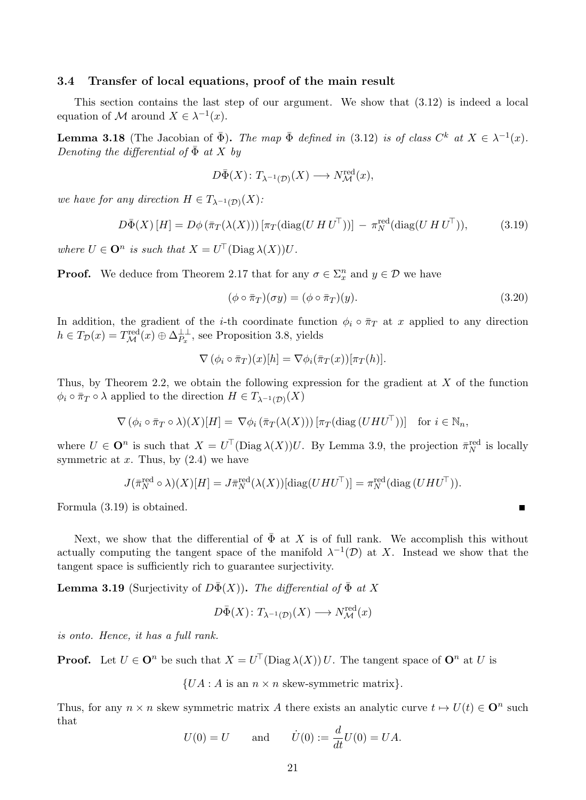### 3.4 Transfer of local equations, proof of the main result

This section contains the last step of our argument. We show that (3.12) is indeed a local equation of M around  $X \in \lambda^{-1}(x)$ .

**Lemma 3.18** (The Jacobian of  $\bar{\Phi}$ ). The map  $\bar{\Phi}$  defined in (3.12) is of class  $C^k$  at  $X \in \lambda^{-1}(x)$ . Denoting the differential of  $\bar{\Phi}$  at X by

$$
D\bar{\Phi}(X) \colon T_{\lambda^{-1}(\mathcal{D})}(X) \longrightarrow N^{\text{red}}_{\mathcal{M}}(x),
$$

we have for any direction  $H \in T_{\lambda^{-1}(\mathcal{D})}(X)$ :

$$
D\bar{\Phi}(X)\left[H\right] = D\phi\left(\bar{\pi}_T(\lambda(X))\right)\left[\pi_T(\text{diag}(U\,H\,U^{\top}))\right] - \pi_N^{\text{red}}(\text{diag}(U\,H\,U^{\top}))\tag{3.19}
$$

where  $U \in \mathbf{O}^n$  is such that  $X = U^{\top}(\text{Diag }\lambda(X))U$ .

**Proof.** We deduce from Theorem 2.17 that for any  $\sigma \in \Sigma_x^n$  and  $y \in \mathcal{D}$  we have

$$
(\phi \circ \bar{\pi}_T)(\sigma y) = (\phi \circ \bar{\pi}_T)(y). \tag{3.20}
$$

г

In addition, the gradient of the *i*-th coordinate function  $\phi_i \circ \overline{\pi}_T$  at x applied to any direction  $h \in T_{\mathcal{D}}(x) = T^{\text{red}}_{\mathcal{M}}(x) \oplus \Delta^{\perp \perp}_{P_x}$ , see Proposition 3.8, yields

$$
\nabla (\phi_i \circ \overline{\pi}_T)(x)[h] = \nabla \phi_i(\overline{\pi}_T(x))[\pi_T(h)].
$$

Thus, by Theorem 2.2, we obtain the following expression for the gradient at  $X$  of the function  $\phi_i \circ \bar{\pi}_T \circ \lambda$  applied to the direction  $H \in T_{\lambda^{-1}(D)}(X)$ 

$$
\nabla (\phi_i \circ \bar{\pi}_T \circ \lambda)(X)[H] = \nabla \phi_i (\bar{\pi}_T(\lambda(X))) [\pi_T(\text{diag}(UHU^{\top}))]
$$
 for  $i \in \mathbb{N}_n$ ,

where  $U \in \mathbf{O}^n$  is such that  $X = U^{\top}(\text{Diag }\lambda(X))U$ . By Lemma 3.9, the projection  $\bar{\pi}_N^{\text{red}}$  is locally symmetric at  $x$ . Thus, by  $(2.4)$  we have

$$
J(\bar{\pi}_N^{\text{red}} \circ \lambda)(X)[H] = J\bar{\pi}_N^{\text{red}}(\lambda(X))[\text{diag}(UHU^{\top})] = \pi_N^{\text{red}}(\text{diag}(UHU^{\top})).
$$

Formula (3.19) is obtained.

Next, we show that the differential of  $\bar{\Phi}$  at X is of full rank. We accomplish this without actually computing the tangent space of the manifold  $\lambda^{-1}(\mathcal{D})$  at X. Instead we show that the tangent space is sufficiently rich to guarantee surjectivity.

**Lemma 3.19** (Surjectivity of  $D\bar{\Phi}(X)$ ). The differential of  $\bar{\Phi}$  at X

$$
D\bar{\Phi}(X) \colon T_{\lambda^{-1}(\mathcal{D})}(X) \longrightarrow N^{\text{red}}_{\mathcal{M}}(x)
$$

is onto. Hence, it has a full rank.

**Proof.** Let  $U \in \mathbf{O}^n$  be such that  $X = U^{\top}(\text{Diag }\lambda(X))U$ . The tangent space of  $\mathbf{O}^n$  at U is

 $\{UA : A \text{ is an } n \times n \text{ skew-symmetric matrix}\}.$ 

Thus, for any  $n \times n$  skew symmetric matrix A there exists an analytic curve  $t \mapsto U(t) \in \mathbf{O}^n$  such that

$$
U(0) = U
$$
 and  $\dot{U}(0) := \frac{d}{dt}U(0) = UA.$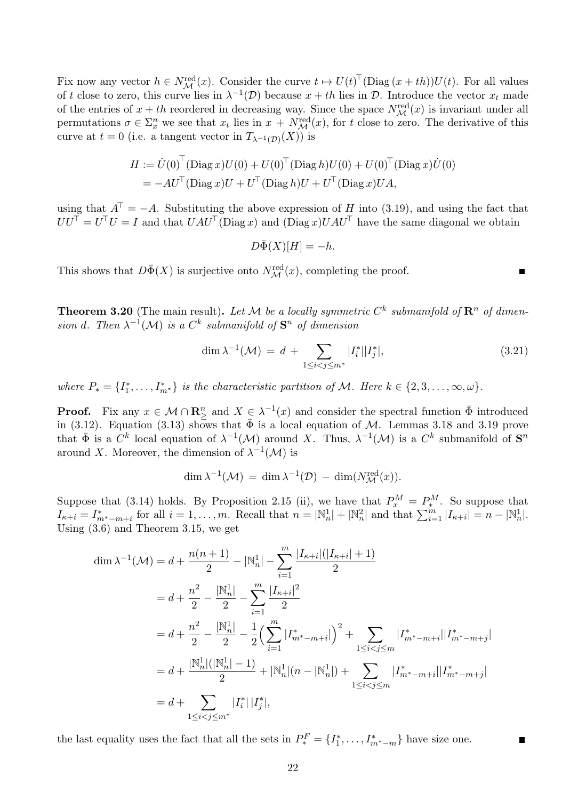Fix now any vector  $h \in N^{\text{red}}_{\mathcal{M}}(x)$ . Consider the curve  $t \mapsto U(t)^{\top}(\text{Diag}(x+th))U(t)$ . For all values of t close to zero, this curve lies in  $\lambda^{-1}(\mathcal{D})$  because  $x + th$  lies in  $\mathcal{D}$ . Introduce the vector  $x_t$  made of the entries of  $x + th$  reordered in decreasing way. Since the space  $N_{\mathcal{M}}^{\text{red}}(x)$  is invariant under all permutations  $\sigma \in \Sigma_x^n$  we see that  $x_t$  lies in  $x + N_{\mathcal{M}}^{\text{red}}(x)$ , for t close to zero. The derivative of this curve at  $t = 0$  (i.e. a tangent vector in  $T_{\lambda^{-1}(\mathcal{D})}(X)$ ) is

$$
H := \dot{U}(0)^{\top} (\text{Diag } x) U(0) + U(0)^{\top} (\text{Diag } h) U(0) + U(0)^{\top} (\text{Diag } x) \dot{U}(0)
$$
  
=  $-AU^{\top} (\text{Diag } x) U + U^{\top} (\text{Diag } h) U + U^{\top} (\text{Diag } x) UA,$ 

using that  $A^{\dagger} = -A$ . Substituting the above expression of H into (3.19), and using the fact that  $UU^{\top} = U^{\top}U = I$  and that  $UAU^{\top}(\text{Diag } x)$  and  $(\text{Diag } x)UAU^{\top}$  have the same diagonal we obtain

 $D\bar{\Phi}(X)[H] = -h.$ 

This shows that  $D\bar{\Phi}(X)$  is surjective onto  $N^{\text{red}}_{\mathcal{M}}(x)$ , completing the proof.

**Theorem 3.20** (The main result). Let M be a locally symmetric  $C^k$  submanifold of  $\mathbb{R}^n$  of dimension d. Then  $\lambda^{-1}(\mathcal{M})$  is a  $C^k$  submanifold of  $\mathbf{S}^n$  of dimension

$$
\dim \lambda^{-1}(\mathcal{M}) = d + \sum_{1 \le i < j \le m^*} |I_i^*||I_j^*|,\tag{3.21}
$$

 $\blacksquare$ 

where  $P_* = \{I_1^*, \ldots, I_{m^*}^*\}$  is the characteristic partition of M. Here  $k \in \{2, 3, \ldots, \infty, \omega\}$ .

**Proof.** Fix any  $x \in \mathcal{M} \cap \mathbb{R}^n$  and  $X \in \lambda^{-1}(x)$  and consider the spectral function  $\bar{\Phi}$  introduced in (3.12). Equation (3.13) shows that  $\bar{\Phi}$  is a local equation of M. Lemmas 3.18 and 3.19 prove that  $\bar{\Phi}$  is a  $C^k$  local equation of  $\lambda^{-1}(\mathcal{M})$  around X. Thus,  $\lambda^{-1}(\mathcal{M})$  is a  $C^k$  submanifold of  $S^n$ around X. Moreover, the dimension of  $\lambda^{-1}(\mathcal{M})$  is

$$
\dim \lambda^{-1}(\mathcal{M}) = \dim \lambda^{-1}(\mathcal{D}) - \dim(N_{\mathcal{M}}^{\text{red}}(x)).
$$

Suppose that (3.14) holds. By Proposition 2.15 (ii), we have that  $P_x^M = P_*^M$ . So suppose that  $I_{\kappa+i} = I^*_{m^* - m+i}$  for all  $i = 1, \ldots, m$ . Recall that  $n = |\mathbb{N}_n^1| + |\mathbb{N}_n^2|$  and that  $\sum_{i=1}^m |I_{\kappa+i}| = n - |\mathbb{N}_n^1|$ . Using (3.6) and Theorem 3.15, we get

$$
\dim \lambda^{-1}(\mathcal{M}) = d + \frac{n(n+1)}{2} - |\mathbb{N}_n^1| - \sum_{i=1}^m \frac{|I_{\kappa+i}|(|I_{\kappa+i}|+1)}{2}
$$
  
\n
$$
= d + \frac{n^2}{2} - \frac{|\mathbb{N}_n^1|}{2} - \sum_{i=1}^m \frac{|I_{\kappa+i}|^2}{2}
$$
  
\n
$$
= d + \frac{n^2}{2} - \frac{|\mathbb{N}_n^1|}{2} - \frac{1}{2} \left( \sum_{i=1}^m |I_{m^*-m+i}^*| \right)^2 + \sum_{1 \le i < j \le m} |I_{m^*-m+i}^*| |I_{m^*-m+j}^*|
$$
  
\n
$$
= d + \frac{|\mathbb{N}_n^1|(|\mathbb{N}_n^1| - 1)}{2} + |\mathbb{N}_n^1|(n - |\mathbb{N}_n^1|) + \sum_{1 \le i < j \le m} |I_{m^*-m+i}^*| |I_{m^*-m+j}^*|
$$
  
\n
$$
= d + \sum_{1 \le i < j \le m^*} |I_i^*| |I_j^*|,
$$

the last equality uses the fact that all the sets in  $P_*^F = \{I_1^*, \ldots, I_{m^*-m}^*\}$  have size one.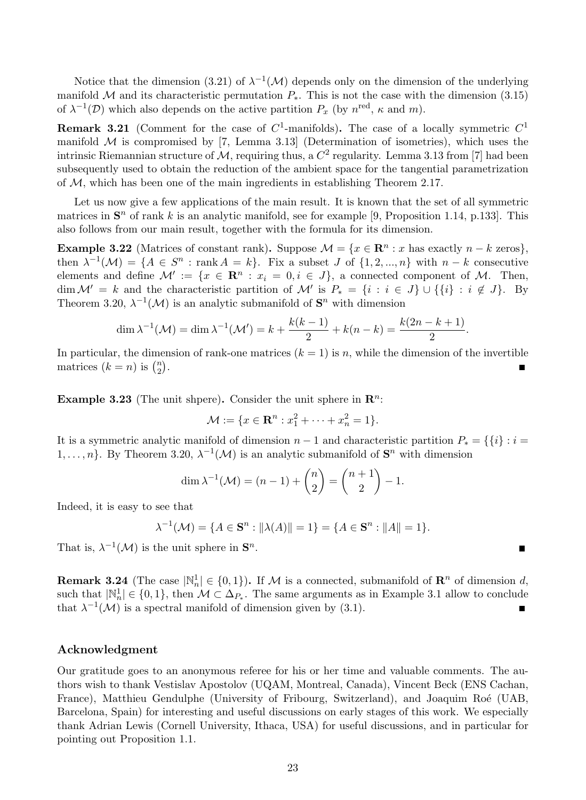Notice that the dimension (3.21) of  $\lambda^{-1}(\mathcal{M})$  depends only on the dimension of the underlying manifold M and its characteristic permutation  $P_{*}$ . This is not the case with the dimension (3.15) of  $\lambda^{-1}(\mathcal{D})$  which also depends on the active partition  $P_x$  (by  $n^{\text{red}}, \kappa$  and m).

**Remark 3.21** (Comment for the case of  $C^1$ -manifolds). The case of a locally symmetric  $C^1$ manifold  $M$  is compromised by [7, Lemma 3.13] (Determination of isometries), which uses the intrinsic Riemannian structure of M, requiring thus, a  $C^2$  regularity. Lemma 3.13 from [7] had been subsequently used to obtain the reduction of the ambient space for the tangential parametrization of  $M$ , which has been one of the main ingredients in establishing Theorem 2.17.

Let us now give a few applications of the main result. It is known that the set of all symmetric matrices in  $S<sup>n</sup>$  of rank k is an analytic manifold, see for example [9, Proposition 1.14, p.133]. This also follows from our main result, together with the formula for its dimension.

**Example 3.22** (Matrices of constant rank). Suppose  $\mathcal{M} = \{x \in \mathbb{R}^n : x \text{ has exactly } n - k \text{ zeros}\}\,$ then  $\lambda^{-1}(\mathcal{M}) = \{A \in S^n : \text{rank } A = k\}.$  Fix a subset J of  $\{1, 2, ..., n\}$  with  $n - k$  consecutive elements and define  $\mathcal{M}' := \{x \in \mathbb{R}^n : x_i = 0, i \in J\}$ , a connected component of M. Then, dim  $\mathcal{M}' = k$  and the characteristic partition of  $\mathcal{M}'$  is  $P_* = \{i : i \in J\} \cup \{\{i\} : i \notin J\}$ . By Theorem 3.20,  $\lambda^{-1}(\mathcal{M})$  is an analytic submanifold of  $S<sup>n</sup>$  with dimension

$$
\dim \lambda^{-1}(\mathcal{M}) = \dim \lambda^{-1}(\mathcal{M}') = k + \frac{k(k-1)}{2} + k(n-k) = \frac{k(2n-k+1)}{2}.
$$

In particular, the dimension of rank-one matrices  $(k = 1)$  is n, while the dimension of the invertible matrices  $(k = n)$  is  $\binom{n}{2}$  $\binom{n}{2}$ .

**Example 3.23** (The unit shpere). Consider the unit sphere in  $\mathbb{R}^n$ :

$$
\mathcal{M} := \{ x \in \mathbf{R}^n : x_1^2 + \dots + x_n^2 = 1 \}.
$$

It is a symmetric analytic manifold of dimension  $n-1$  and characteristic partition  $P_* = \{\{i\} : i =$ 1,...,n}. By Theorem 3.20,  $\lambda^{-1}(\mathcal{M})$  is an analytic submanifold of  $\mathbf{S}^n$  with dimension

$$
\dim \lambda^{-1}(\mathcal{M}) = (n-1) + \binom{n}{2} = \binom{n+1}{2} - 1.
$$

Indeed, it is easy to see that

$$
\lambda^{-1}(\mathcal{M}) = \{ A \in \mathbf{S}^n : ||\lambda(A)|| = 1 \} = \{ A \in \mathbf{S}^n : ||A|| = 1 \}.
$$

П

That is,  $\lambda^{-1}(\mathcal{M})$  is the unit sphere in  $\mathbf{S}^n$ .

**Remark 3.24** (The case  $|\mathbb{N}_n^1| \in \{0, 1\}$ ). If M is a connected, submanifold of  $\mathbb{R}^n$  of dimension d, such that  $|\mathbb{N}_n^1| \in \{0,1\}$ , then  $\mathcal{M} \subset \Delta_{P_{*}}$ . The same arguments as in Example 3.1 allow to conclude that  $\lambda^{-1}(\mathcal{M})$  is a spectral manifold of dimension given by (3.1). Г

#### Acknowledgment

Our gratitude goes to an anonymous referee for his or her time and valuable comments. The authors wish to thank Vestislav Apostolov (UQAM, Montreal, Canada), Vincent Beck (ENS Cachan, France), Matthieu Gendulphe (University of Fribourg, Switzerland), and Joaquim Roé (UAB, Barcelona, Spain) for interesting and useful discussions on early stages of this work. We especially thank Adrian Lewis (Cornell University, Ithaca, USA) for useful discussions, and in particular for pointing out Proposition 1.1.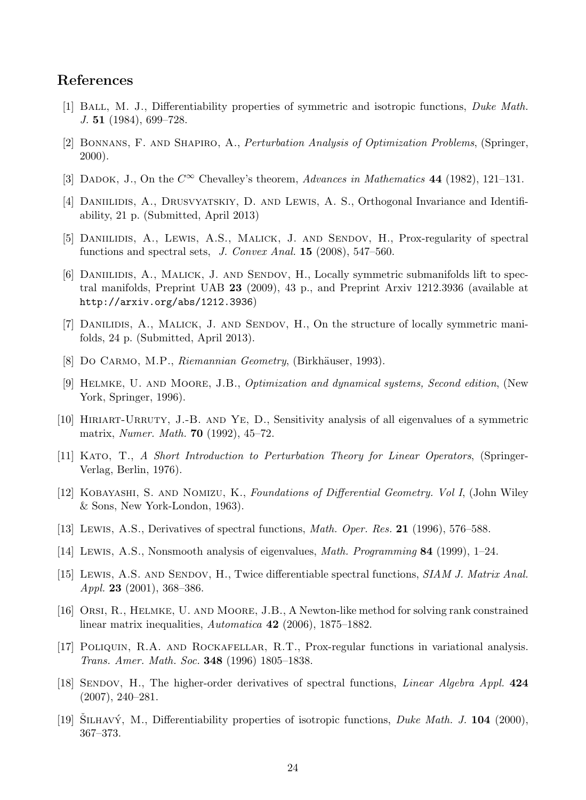### References

- [1] BALL, M. J., Differentiability properties of symmetric and isotropic functions, *Duke Math.*  $J. 51 (1984), 699-728.$
- [2] Bonnans, F. and Shapiro, A., Perturbation Analysis of Optimization Problems, (Springer, 2000).
- [3] DADOK, J., On the  $C^{\infty}$  Chevalley's theorem, Advances in Mathematics 44 (1982), 121–131.
- [4] Daniilidis, A., Drusvyatskiy, D. and Lewis, A. S., Orthogonal Invariance and Identifiability, 21 p. (Submitted, April 2013)
- [5] DANIILIDIS, A., LEWIS, A.S., MALICK, J. AND SENDOV, H., Prox-regularity of spectral functions and spectral sets,  $J. Convex Anal.$  **15** (2008), 547–560.
- [6] DANIILIDIS, A., MALICK, J. AND SENDOV, H., Locally symmetric submanifolds lift to spectral manifolds, Preprint UAB 23 (2009), 43 p., and Preprint Arxiv 1212.3936 (available at http://arxiv.org/abs/1212.3936)
- [7] DANILIDIS, A., MALICK, J. AND SENDOV, H., On the structure of locally symmetric manifolds, 24 p. (Submitted, April 2013).
- [8] Do CARMO, M.P., Riemannian Geometry, (Birkhäuser, 1993).
- [9] Helmke, U. and Moore, J.B., Optimization and dynamical systems, Second edition, (New York, Springer, 1996).
- [10] HIRIART-URRUTY, J.-B. AND YE, D., Sensitivity analysis of all eigenvalues of a symmetric matrix, Numer. Math. 70 (1992), 45–72.
- [11] Kato, T., A Short Introduction to Perturbation Theory for Linear Operators, (Springer-Verlag, Berlin, 1976).
- [12] Kobayashi, S. and Nomizu, K., Foundations of Differential Geometry. Vol I, (John Wiley & Sons, New York-London, 1963).
- [13] Lewis, A.S., Derivatives of spectral functions, Math. Oper. Res. 21 (1996), 576–588.
- [14] Lewis, A.S., Nonsmooth analysis of eigenvalues, Math. Programming 84 (1999), 1–24.
- [15] LEWIS, A.S. AND SENDOV, H., Twice differentiable spectral functions, SIAM J. Matrix Anal. *Appl.* **23** (2001), 368-386.
- [16] Orsi, R., Helmke, U. and Moore, J.B., A Newton-like method for solving rank constrained linear matrix inequalities, Automatica 42 (2006), 1875–1882.
- [17] Poliquin, R.A. and Rockafellar, R.T., Prox-regular functions in variational analysis. Trans. Amer. Math. Soc. 348 (1996) 1805–1838.
- [18] SENDOV, H., The higher-order derivatives of spectral functions, *Linear Algebra Appl.* 424 (2007), 240–281.
- [19] SILHAVÝ, M., Differentiability properties of isotropic functions, *Duke Math. J.* **104** (2000), 367–373.